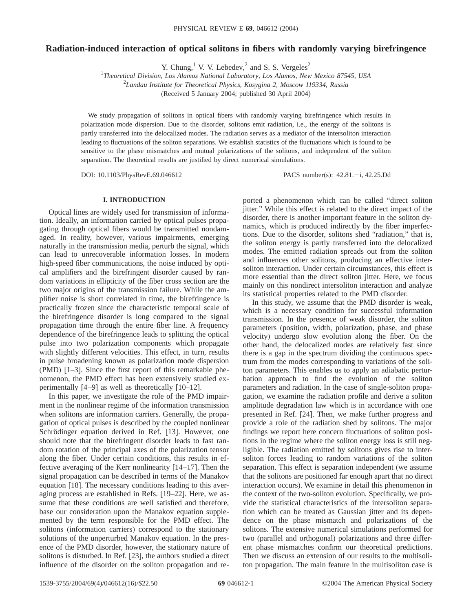# **Radiation-induced interaction of optical solitons in fibers with randomly varying birefringence**

Y. Chung, <sup>1</sup> V. V. Lebedev,  $^{2}$  and S. S. Vergeles<sup>2</sup>

1 *Theoretical Division, Los Alamos National Laboratory, Los Alamos, New Mexico 87545, USA*

2 *Landau Institute for Theoretical Physics, Kosygina 2, Moscow 119334, Russia*

(Received 5 January 2004; published 30 April 2004)

We study propagation of solitons in optical fibers with randomly varying birefringence which results in polarization mode dispersion. Due to the disorder, solitons emit radiation, i.e., the energy of the solitons is partly transferred into the delocalized modes. The radiation serves as a mediator of the intersoliton interaction leading to fluctuations of the soliton separations. We establish statistics of the fluctuations which is found to be sensitive to the phase mismatches and mutual polarizations of the solitons, and independent of the soliton separation. The theoretical results are justified by direct numerical simulations.

DOI: 10.1103/PhysRevE.69.046612 PACS number(s): 42.81.-i, 42.25.Dd

## **I. INTRODUCTION**

Optical lines are widely used for transmission of information. Ideally, an information carried by optical pulses propagating through optical fibers would be transmitted nondamaged. In reality, however, various impairments, emerging naturally in the transmission media, perturb the signal, which can lead to unrecoverable information losses. In modern high-speed fiber communications, the noise induced by optical amplifiers and the birefringent disorder caused by random variations in ellipticity of the fiber cross section are the two major origins of the transmission failure. While the amplifier noise is short correlated in time, the birefringence is practically frozen since the characteristic temporal scale of the birefringence disorder is long compared to the signal propagation time through the entire fiber line. A frequency dependence of the birefringence leads to splitting the optical pulse into two polarization components which propagate with slightly different velocities. This effect, in turn, results in pulse broadening known as polarization mode dispersion (PMD) [1–3]. Since the first report of this remarkable phenomenon, the PMD effect has been extensively studied experimentally [4–9] as well as theoretically [10–12].

In this paper, we investigate the role of the PMD impairment in the nonlinear regime of the information transmission when solitons are information carriers. Generally, the propagation of optical pulses is described by the coupled nonlinear Schrödinger equation derived in Ref. [13]. However, one should note that the birefringent disorder leads to fast random rotation of the principal axes of the polarization tensor along the fiber. Under certain conditions, this results in effective averaging of the Kerr nonlinearity [14–17]. Then the signal propagation can be described in terms of the Manakov equation [18]. The necessary conditions leading to this averaging process are established in Refs. [19–22]. Here, we assume that these conditions are well satisfied and therefore, base our consideration upon the Manakov equation supplemented by the term responsible for the PMD effect. The solitons (information carriers) correspond to the stationary solutions of the unperturbed Manakov equation. In the presence of the PMD disorder, however, the stationary nature of solitons is disturbed. In Ref. [23], the authors studied a direct influence of the disorder on the soliton propagation and reported a phenomenon which can be called "direct soliton jitter." While this effect is related to the direct impact of the disorder, there is another important feature in the soliton dynamics, which is produced indirectly by the fiber imperfections. Due to the disorder, solitons shed "radiation," that is, the soliton energy is partly transferred into the delocalized modes. The emitted radiation spreads out from the soliton and influences other solitons, producing an effective intersoliton interaction. Under certain circumstances, this effect is more essential than the direct soliton jitter. Here, we focus mainly on this nondirect intersoliton interaction and analyze its statistical properties related to the PMD disorder.

In this study, we assume that the PMD disorder is weak, which is a necessary condition for successful information transmission. In the presence of weak disorder, the soliton parameters (position, width, polarization, phase, and phase velocity) undergo slow evolution along the fiber. On the other hand, the delocalized modes are relatively fast since there is a gap in the spectrum dividing the continuous spectrum from the modes corresponding to variations of the soliton parameters. This enables us to apply an adiabatic perturbation approach to find the evolution of the soliton parameters and radiation. In the case of single-soliton propagation, we examine the radiation profile and derive a soliton amplitude degradation law which is in accordance with one presented in Ref. [24]. Then, we make further progress and provide a role of the radiation shed by solitons. The major findings we report here concern fluctuations of soliton positions in the regime where the soliton energy loss is still negligible. The radiation emitted by solitons gives rise to intersoliton forces leading to random variations of the soliton separation. This effect is separation independent (we assume that the solitons are positioned far enough apart that no direct interaction occurs). We examine in detail this phenomenon in the context of the two-soliton evolution. Specifically, we provide the statistical characteristics of the intersoliton separation which can be treated as Gaussian jitter and its dependence on the phase mismatch and polarizations of the solitons. The extensive numerical simulations performed for two (parallel and orthogonal) polarizations and three different phase mismatches confirm our theoretical predictions. Then we discuss an extension of our results to the multisoliton propagation. The main feature in the multisoliton case is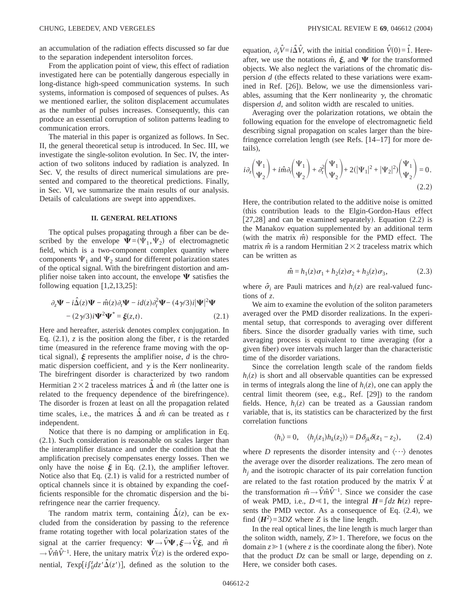an accumulation of the radiation effects discussed so far due to the separation independent intersoliton forces.

From the application point of view, this effect of radiation investigated here can be potentially dangerous especially in long-distance high-speed communication systems. In such systems, information is composed of sequences of pulses. As we mentioned earlier, the soliton displacement accumulates as the number of pulses increases. Consequently, this can produce an essential corruption of soliton patterns leading to communication errors.

The material in this paper is organized as follows. In Sec. II, the general theoretical setup is introduced. In Sec. III, we investigate the single-soliton evolution. In Sec. IV, the interaction of two solitons induced by radiation is analyzed. In Sec. V, the results of direct numerical simulations are presented and compared to the theoretical predictions. Finally, in Sec. VI, we summarize the main results of our analysis. Details of calculations are swept into appendixes.

#### **II. GENERAL RELATIONS**

The optical pulses propagating through a fiber can be described by the envelope  $\Psi=(\Psi_1,\Psi_2)$  of electromagnetic field, which is a two-component complex quantity where components  $\Psi_1$  and  $\Psi_2$  stand for different polarization states of the optical signal. With the birefringent distortion and amplifier noise taken into account, the envelope  $\Psi$  satisfies the following equation [1,2,13,25]:

$$
\partial_z \Psi - i\hat{\Delta}(z)\Psi - \hat{m}(z)\partial_t \Psi - id(z)\partial_t^2 \Psi - (4\gamma/3)i|\Psi|^2 \Psi - (2\gamma/3)i\Psi^2 \Psi^* = \xi(z,t). \tag{2.1}
$$

Here and hereafter, asterisk denotes complex conjugation. In Eq.  $(2.1)$ , *z* is the position along the fiber, *t* is the retarded time (measured in the reference frame moving with the optical signal),  $\xi$  represents the amplifier noise, *d* is the chromatic dispersion coefficient, and  $\gamma$  is the Kerr nonlinearity. The birefringent disorder is characterized by two random Hermitian  $2\times2$  traceless matrices  $\Delta$  and  $\hat{m}$  (the latter one is related to the frequency dependence of the birefringence). The disorder is frozen at least on all the propagation related time scales, i.e., the matrices  $\Delta$  and  $\hat{m}$  can be treated as *t* independent.

Notice that there is no damping or amplification in Eq. (2.1). Such consideration is reasonable on scales larger than the interamplifier distance and under the condition that the amplification precisely compensates energy losses. Then we only have the noise  $\xi$  in Eq. (2.1), the amplifier leftover. Notice also that Eq. (2.1) is valid for a restricted number of optical channels since it is obtained by expanding the coefficients responsible for the chromatic dispersion and the birefringence near the carrier frequency.

The random matrix term, containing  $\hat{\Delta}(z)$ , can be excluded from the consideration by passing to the reference frame rotating together with local polarization states of the signal at the carrier frequency:  $\Psi \rightarrow \hat{V}\Psi$ ,  $\xi \rightarrow \hat{V}\xi$ , and  $\hat{m}$  $\rightarrow \hat{V} \hat{m} \hat{V}^{-1}$ . Here, the unitary matrix  $\hat{V}(z)$  is the ordered exponential,  $T \exp[i\int_0^z dz' \hat{\Delta}(z')]$ , defined as the solution to the

equation,  $\partial_z \hat{V} = i \hat{\Delta} \hat{V}$ , with the initial condition  $\hat{V}(0) = \hat{1}$ . Hereafter, we use the notations  $\hat{m}$ ,  $\xi$ , and  $\Psi$  for the transformed objects. We also neglect the variations of the chromatic dispersion *d* (the effects related to these variations were examined in Ref. [26]). Below, we use the dimensionless variables, assuming that the Kerr nonlinearity  $\gamma$ , the chromatic dispersion *d*, and soliton width are rescaled to unities.

Averaging over the polarization rotations, we obtain the following equation for the envelope of electromagnetic field describing signal propagation on scales larger than the birefringence correlation length (see Refs. [14–17] for more details),

$$
i\partial_z \begin{pmatrix} \Psi_1 \\ \Psi_2 \end{pmatrix} + i\hat{m}\partial_t \begin{pmatrix} \Psi_1 \\ \Psi_2 \end{pmatrix} + \partial_t^2 \begin{pmatrix} \Psi_1 \\ \Psi_2 \end{pmatrix} + 2(|\Psi_1|^2 + |\Psi_2|^2) \begin{pmatrix} \Psi_1 \\ \Psi_2 \end{pmatrix} = 0.
$$
\n(2.2)

Here, the contribution related to the additive noise is omitted (this contribution leads to the Elgin-Gordon-Haus effect [27,28] and can be examined separately). Equation  $(2.2)$  is the Manakov equation supplemented by an additional term (with the matrix  $\hat{m}$ ) responsible for the PMD effect. The matrix  $\hat{m}$  is a random Hermitian  $2 \times 2$  traceless matrix which can be written as

$$
\hat{m} = h_1(z)\sigma_1 + h_2(z)\sigma_2 + h_3(z)\sigma_3, \tag{2.3}
$$

where  $\hat{\sigma}_i$  are Pauli matrices and  $h_i(z)$  are real-valued functions of *z*.

We aim to examine the evolution of the soliton parameters averaged over the PMD disorder realizations. In the experimental setup, that corresponds to averaging over different fibers. Since the disorder gradually varies with time, such averaging process is equivalent to time averaging (for a given fiber) over intervals much larger than the characteristic time of the disorder variations.

Since the correlation length scale of the random fields  $h_i(z)$  is short and all observable quantities can be expressed in terms of integrals along the line of  $h_i(z)$ , one can apply the central limit theorem (see, e.g., Ref. [29]) to the random fields. Hence,  $h_i(z)$  can be treated as a Gaussian random variable, that is, its statistics can be characterized by the first correlation functions

$$
\langle h_i \rangle = 0, \quad \langle h_j(z_1) h_k(z_2) \rangle = D \delta_{jk} \delta(z_1 - z_2), \quad (2.4)
$$

where *D* represents the disorder intensity and  $\langle \cdots \rangle$  denotes the average over the disorder realizations. The zero mean of  $h_i$  and the isotropic character of its pair correlation function are related to the fast rotation produced by the matrix  $\hat{V}$  at the transformation  $\hat{m} \rightarrow \hat{V} \hat{m} \hat{V}^{-1}$ . Since we consider the case of weak PMD, i.e.,  $D \ll 1$ , the integral  $H = \int dz h(z)$  represents the PMD vector. As a consequence of Eq.  $(2.4)$ , we find  $\langle H^2 \rangle$  = 3*DZ* where *Z* is the line length.

In the real optical lines, the line length is much larger than the soliton width, namely,  $Z \ge 1$ . Therefore, we focus on the domain  $z \geq 1$  (where *z* is the coordinate along the fiber). Note that the product *Dz* can be small or large, depending on *z*. Here, we consider both cases.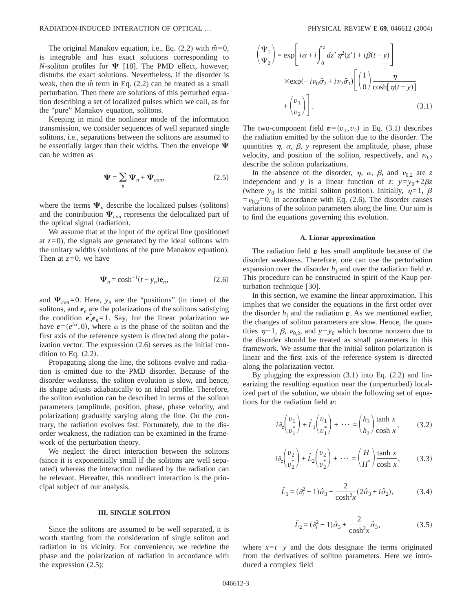The original Manakov equation, i.e., Eq.  $(2.2)$  with  $\hat{m}=0$ , is integrable and has exact solutions corresponding to *N*-soliton profiles for  $\Psi$  [18]. The PMD effect, however, disturbs the exact solutions. Nevertheless, if the disorder is weak, then the  $\hat{m}$  term in Eq. (2.2) can be treated as a small perturbation. Then there are solutions of this perturbed equation describing a set of localized pulses which we call, as for the "pure" Manakov equation, solitons.

Keeping in mind the nonlinear mode of the information transmission, we consider sequences of well separated single solitons, i.e., separations between the solitons are assumed to be essentially larger than their widths. Then the envelope  $\Psi$ can be written as

$$
\Psi = \sum_{n} \Psi_{n} + \Psi_{con}, \qquad (2.5)
$$

where the terms  $\Psi_n$  describe the localized pulses (solitons) and the contribution  $\Psi_{con}$  represents the delocalized part of the optical signal (radiation).

We assume that at the input of the optical line (positioned at  $z=0$ ), the signals are generated by the ideal solitons with the unitary widths (solutions of the pure Manakov equation). Then at  $z=0$ , we have

$$
\Psi_n = \cosh^{-1}(t - y_n)\mathbf{e}_n, \tag{2.6}
$$

and  $\Psi_{con}=0$ . Here,  $y_n$  are the "positions" (in time) of the solitons, and  $e_n$  are the polarizations of the solitons satisfying the condition  $e_n^*e_n = 1$ . Say, for the linear polarization we have  $e=(e^{i\alpha},0)$ , where  $\alpha$  is the phase of the soliton and the first axis of the reference system is directed along the polarization vector. The expression  $(2.6)$  serves as the initial condition to Eq.  $(2.2)$ .

Propagating along the line, the solitons evolve and radiation is emitted due to the PMD disorder. Because of the disorder weakness, the soliton evolution is slow, and hence, its shape adjusts adiabatically to an ideal profile. Therefore, the soliton evolution can be described in terms of the soliton parameters (amplitude, position, phase, phase velocity, and polarization) gradually varying along the line. On the contrary, the radiation evolves fast. Fortunately, due to the disorder weakness, the radiation can be examined in the framework of the perturbation theory.

We neglect the direct interaction between the solitons (since it is exponentially small if the solitons are well separated) whereas the interaction mediated by the radiation can be relevant. Hereafter, this nondirect interaction is the principal subject of our analysis.

#### **III. SINGLE SOLITON**

Since the solitons are assumed to be well separated, it is worth starting from the consideration of single soliton and radiation in its vicinity. For convenience, we redefine the phase and the polarization of radiation in accordance with the expression (2.5):

$$
\begin{pmatrix} \Psi_1 \\ \Psi_2 \end{pmatrix} = \exp \left[ i\alpha + i \int_0^z dz' \eta^2(z') + i\beta(t - y) \right]
$$
  
 
$$
\times \exp(-iv_0 \hat{\sigma}_2 + iv_2 \hat{\sigma}_1) \left[ \left( \frac{1}{0} \right) \frac{\eta}{\cosh[\eta(t - y)]} + \left( \frac{v_1}{v_2} \right) \right].
$$
 (3.1)

The two-component field  $\mathbf{v}=(v_1, v_2)$  in Eq. (3.1) describes the radiation emitted by the soliton due to the disorder. The quantities  $\eta$ ,  $\alpha$ ,  $\beta$ ,  $\gamma$  represent the amplitude, phase, phase velocity, and position of the soliton, respectively, and  $v_{0,2}$ describe the soliton polarizations.

In the absence of the disorder,  $\eta$ ,  $\alpha$ ,  $\beta$ , and  $\nu_{0,2}$  are *z* independent and *y* is a linear function of *z*:  $y=y_0+2\beta z$ (where  $y_0$  is the initial soliton position). Initially,  $\eta=1$ ,  $\beta$  $=v_{0,2}=0$ , in accordance with Eq. (2.6). The disorder causes variations of the soliton parameters along the line. Our aim is to find the equations governing this evolution.

#### **A. Linear approximation**

The radiation field  $v$  has small amplitude because of the disorder weakness. Therefore, one can use the perturbation expansion over the disorder  $h_i$  and over the radiation field  $v$ . This procedure can be constructed in spirit of the Kaup perturbation technique [30].

In this section, we examine the linear approximation. This implies that we consider the equations in the first order over the disorder  $h_i$  and the radiation  $v$ . As we mentioned earlier, the changes of soliton parameters are slow. Hence, the quantities  $η$ −1,  $β$ ,  $ν<sub>0.2</sub>$ , and  $y-y<sub>0</sub>$  which become nonzero due to the disorder should be treated as small parameters in this framework. We assume that the initial soliton polarization is linear and the first axis of the reference system is directed along the polarization vector.

By plugging the expression  $(3.1)$  into Eq.  $(2.2)$  and linearizing the resulting equation near the (unperturbed) localized part of the solution, we obtain the following set of equations for the radiation field *v*:

$$
i\partial_z \begin{pmatrix} v_1 \\ v_1^* \end{pmatrix} + \hat{L}_1 \begin{pmatrix} v_1 \\ v_1^* \end{pmatrix} + \dots = \begin{pmatrix} h_3 \\ h_3 \end{pmatrix} \frac{\tanh x}{\cosh x}, \tag{3.2}
$$

$$
i\partial_z \begin{pmatrix} v_2 \\ v_2 \end{pmatrix} + \hat{L}_2 \begin{pmatrix} v_2 \\ v_2 \end{pmatrix} + \cdots = \begin{pmatrix} H \\ H^* \end{pmatrix} \frac{\tanh x}{\cosh x}, \qquad (3.3)
$$

$$
\hat{L}_1 = (\partial_t^2 - 1)\hat{\sigma}_3 + \frac{2}{\cosh^2 x} (2\hat{\sigma}_3 + i\hat{\sigma}_2),
$$
 (3.4)

$$
\hat{L}_2 = (\partial_t^2 - 1)\hat{\sigma}_3 + \frac{2}{\cosh^2 x} \hat{\sigma}_3,
$$
\n(3.5)

where  $x=t-y$  and the dots designate the terms originated from the derivatives of soliton parameters. Here we introduced a complex field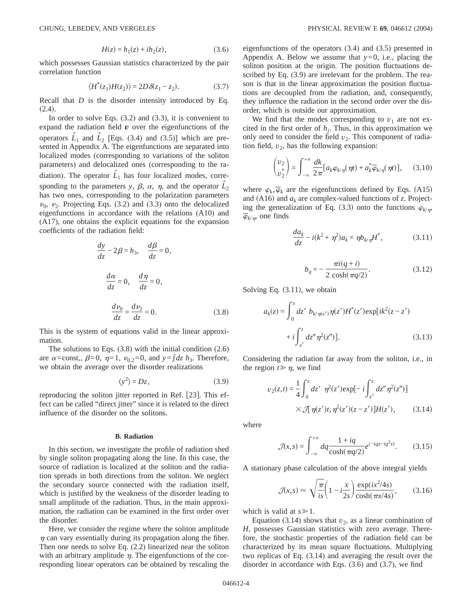$$
H(z) = h_1(z) + ih_2(z),
$$
 (3.6)

which possesses Gaussian statistics characterized by the pair correlation function

$$
\langle H^*(z_1)H(z_2)\rangle = 2D\,\delta(z_1 - z_2). \tag{3.7}
$$

Recall that *D* is the disorder intensity introduced by Eq.  $(2.4).$ 

In order to solve Eqs. (3.2) and (3.3), it is convenient to expand the radiation field  $v$  over the eigenfunctions of the operators  $\hat{L}_1$  and  $\hat{L}_2$  [Eqs. (3.4) and (3.5)] which are presented in Appendix A. The eigenfunctions are separated into localized modes (corresponding to variations of the soliton parameters) and delocalized ones (corresponding to the radiation). The operator  $\hat{L}_1$  has four localized modes, corresponding to the parameters *y*,  $\beta$ ,  $\alpha$ ,  $\eta$ , and the operator  $\hat{L}_2$ has two ones, corresponding to the polarization parameters  $\nu_0$ ,  $\nu_2$ . Projecting Eqs. (3.2) and (3.3) onto the delocalized eigenfunctions in accordance with the relations (A10) and (A17), one obtains the explicit equations for the expansion coefficients of the radiation field:

$$
\frac{dy}{dz} - 2\beta = h_3, \quad \frac{d\beta}{dz} = 0,
$$

$$
\frac{d\alpha}{dz} = 0, \quad \frac{d\eta}{dz} = 0,
$$

$$
\frac{d\nu_0}{dz} = \frac{d\nu_2}{dz} = 0.
$$
(3.8)

This is the system of equations valid in the linear approximation.

The solutions to Eqs.  $(3.8)$  with the initial condition  $(2.6)$ are  $\alpha$ =const,,  $\beta$ =0,  $\eta$ =1,  $\nu_0$ <sub>2</sub>=0, and  $y = \int dz h_3$ . Therefore, we obtain the average over the disorder realizations

$$
\langle y^2 \rangle = Dz,\tag{3.9}
$$

reproducing the soliton jitter reported in Ref.  $[23]$ . This effect can be called "direct jitter" since it is related to the direct influence of the disorder on the solitons.

#### **B. Radiation**

In this section, we investigate the profile of radiation shed by single soliton propagating along the line. In this case, the source of radiation is localized at the soliton and the radiation spreads in both directions from the soliton. We neglect the secondary source connected with the radiation itself, which is justified by the weakness of the disorder leading to small amplitude of the radiation. Thus, in the main approximation, the radiation can be examined in the first order over the disorder.

Here, we consider the regime where the soliton amplitude  $\eta$  can vary essentially during its propagation along the fiber. Then one needs to solve Eq. (2.2) linearized near the soliton with an arbitrary amplitude  $\eta$ . The eigenfunctions of the corresponding linear operators can be obtained by rescaling the eigenfunctions of the operators (3.4) and (3.5) presented in Appendix A. Below we assume that  $y=0$ , i.e., placing the soliton position at the origin. The position fluctuations described by Eq. (3.9) are irrelevant for the problem. The reason is that in the linear approximation the position fluctuations are decoupled from the radiation, and, consequently, they influence the radiation in the second order over the disorder, which is outside our approximation.

We find that the modes corresponding to  $v_1$  are not excited in the first order of  $h_i$ . Thus, in this approximation we only need to consider the field  $v_2$ . This component of radiation field,  $v_2$ , has the following expansion:

$$
\begin{pmatrix} v_2 \\ v_2 \end{pmatrix} = \int_{-\infty}^{+\infty} \frac{dk}{2\pi} \big[ a_k \varphi_{k/\eta}(\eta t) + a_k^* \overline{\varphi}_{k/\eta}(\eta t) \big], \qquad (3.10)
$$

where  $\varphi_k$ ,  $\overline{\varphi}_k$  are the eigenfunctions defined by Eqs. (A15) and (A16) and  $a_k$  are complex-valued functions of *z*. Projecting the generalization of Eq. (3.3) onto the functions  $\varphi_{k/m}$ ,  $\overline{\varphi}_{k/n}$ , one finds

$$
\frac{da_k}{dz} - i(k^2 + \eta^2)a_k = \eta b_{k/\eta}H^*,\tag{3.11}
$$

$$
b_q = -\frac{\pi i (q+i)}{2 \cosh(\pi q/2)}.
$$
 (3.12)

Solving Eq.  $(3.11)$ , we obtain

$$
a_k(z) = \int_0^z dz' b_{k/\eta(z')} \eta(z') H^*(z') \exp[i k^2 (z - z')+ i \int_{z'}^z dz'' \eta^2(z'')].
$$
 (3.13)

Considering the radiation far away from the soliton, i.e., in the region  $t \ge \eta$ , we find

$$
v_2(z,t) = \frac{1}{4} \int_0^z dz' \ \eta^2(z') \exp[-i \int_{z'}^z dz'' \eta^2(z'')]
$$
  
 
$$
\times \mathcal{J}[\eta(z'); \eta^2(z')(z-z')] H(z'), \qquad (3.14)
$$

where

$$
\mathcal{J}(x,s) = \int_{-\infty}^{+\infty} dq \frac{1 + iq}{\cosh(\pi q/2)} e^{(-iqx - iq^2 s)}.
$$
 (3.15)

A stationary phase calculation of the above integral yields

$$
\mathcal{J}(x,s) \approx \sqrt{\frac{\pi}{is}} \left( 1 - i \frac{x}{2s} \right) \frac{\exp(ix^2/4s)}{\cosh(\pi x/4s)},
$$
(3.16)

which is valid at  $s \ge 1$ .

Equation  $(3.14)$  shows that  $v_2$ , as a linear combination of *H*, possesses Gaussian statistics with zero average. Therefore, the stochastic properties of the radiation field can be characterized by its mean square fluctuations. Multiplying two replicas of Eq. (3.14) and averaging the result over the disorder in accordance with Eqs. (3.6) and (3.7), we find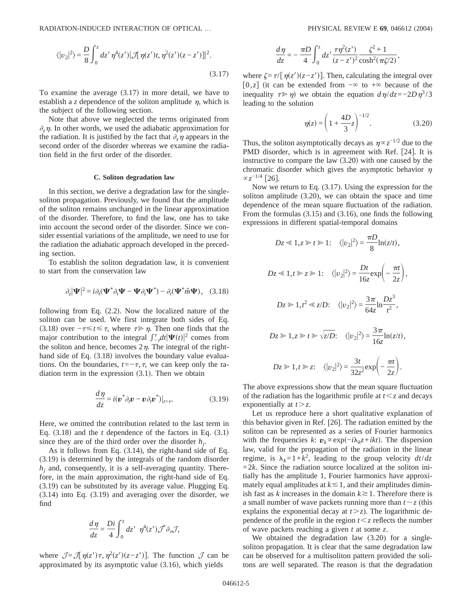RADIATION-INDUCED INTERACTION OF OPTICAL … PHYSICAL REVIEW E **69**, 046612 (2004)

$$
\langle |v_2|^2 \rangle = \frac{D}{8} \int_0^z dz' \, \eta^4(z') |\mathcal{J}[\eta(z')t, \eta^2(z')(z-z')]|^2. \tag{3.17}
$$

To examine the average  $(3.17)$  in more detail, we have to establish a *z* dependence of the soliton amplitude  $\eta$ , which is the subject of the following section.

Note that above we neglected the terms originated from  $\partial_z \eta$ . In other words, we used the adiabatic approximation for the radiation. It is justified by the fact that  $\partial_z \eta$  appears in the second order of the disorder whereas we examine the radiation field in the first order of the disorder.

## **C. Soliton degradation law**

In this section, we derive a degradation law for the singlesoliton propagation. Previously, we found that the amplitude of the soliton remains unchanged in the linear approximation of the disorder. Therefore, to find the law, one has to take into account the second order of the disorder. Since we consider essential variations of the amplitude, we need to use for the radiation the adiabatic approach developed in the preceding section.

To establish the soliton degradation law, it is convenient to start from the conservation law

$$
\partial_z |\Psi|^2 = i \partial_t (\Psi^* \partial_t \Psi - \Psi \partial_t \Psi^*) - \partial_t (\Psi^* \hat{m} \Psi), \quad (3.18)
$$

following from Eq.  $(2.2)$ . Now the localized nature of the soliton can be used. We first integrate both sides of Eq. (3.18) over  $-\tau \le t \le \tau$ , where  $\tau \ge \eta$ . Then one finds that the major contribution to the integral  $\int_{-\tau}^{\tau} dt |\Psi(t)|^2$  comes from the soliton and hence, becomes  $2\eta$ . The integral of the righthand side of Eq.  $(3.18)$  involves the boundary value evaluations. On the boundaries,  $t=-\tau, \tau$ , we can keep only the radiation term in the expression  $(3.1)$ . Then we obtain

$$
\frac{d\eta}{dz} = i(\mathbf{v}^*\partial_t \mathbf{v} - \mathbf{v}\partial_t \mathbf{v}^*)|_{t=\tau}.
$$
\n(3.19)

Here, we omitted the contribution related to the last term in Eq.  $(3.18)$  and the *t* dependence of the factors in Eq.  $(3.1)$ since they are of the third order over the disorder  $h_i$ .

As it follows from Eq. (3.14), the right-hand side of Eq. (3.19) is determined by the integrals of the random disorder  $h_i$  and, consequently, it is a self-averaging quantity. Therefore, in the main approximation, the right-hand side of Eq. (3.19) can be substituted by its average value. Plugging Eq. (3.14) into Eq. (3.19) and averaging over the disorder, we find

$$
\frac{d\eta}{dz} = \frac{Di}{4} \int_0^z dz' \eta^4(z') \mathcal{J}^* \partial_\tau \mathcal{J},
$$

where  $\mathcal{J} = \mathcal{J}[\eta(z')\tau, \eta^2(z')(z-z')]$ . The function  $\mathcal{J}$  can be approximated by its asymptotic value  $(3.16)$ , which yields

$$
\frac{d\eta}{dz} = -\frac{\pi D}{4} \int_0^z dz' \frac{\tau \eta^2(z')}{(z - z')^2} \frac{\zeta^2 + 1}{\cosh^2(\pi \zeta/2)},
$$

where  $\zeta = \tau/[n(z')z-z']$ . Then, calculating the integral over  $[0, z]$  (it can be extended from  $-\infty$  to  $+\infty$  because of the inequality  $\tau \gg \eta$ ) we obtain the equation  $d\eta/dz = -2D\eta^3/3$ leading to the solution

$$
\eta(z) = \left(1 + \frac{4D}{3}z\right)^{-1/2}.\tag{3.20}
$$

Thus, the soliton asymptotically decays as  $\eta \propto z^{-1/2}$  due to the PMD disorder, which is in agreement with Ref. [24]. It is instructive to compare the law  $(3.20)$  with one caused by the chromatic disorder which gives the asymptotic behavior  $\eta$  $~\propto$   $z^{-1/4}$  [26].

Now we return to Eq. (3.17). Using the expression for the soliton amplitude (3.20), we can obtain the space and time dependence of the mean square fluctuation of the radiation. From the formulas (3.15) and (3.16), one finds the following expressions in different spatial-temporal domains

$$
Dz \ll 1, z \gg t \gg 1: \quad \langle |v_2|^2 \rangle = \frac{\pi D}{8} \ln(z/t),
$$
  
\n
$$
Dz \ll 1, t \gg z \gg 1: \quad \langle |v_2|^2 \rangle = \frac{Dt}{16z} \exp\left(-\frac{\pi t}{2z}\right),
$$
  
\n
$$
Dz \gg 1, t^2 \ll z/D: \quad \langle |v_2|^2 \rangle = \frac{3\pi}{64z} \ln \frac{Dz^3}{t^2},
$$
  
\n
$$
Dz \gg 1, z \gg t \gg \sqrt{z/D}: \quad \langle |v_2|^2 \rangle = \frac{3\pi}{16z} \ln(z/t),
$$
  
\n
$$
Dz \gg 1, t \gg z: \quad \langle |v_2|^2 \rangle = \frac{3t}{32z^2} \exp\left(-\frac{\pi t}{2z}\right).
$$

The above expressions show that the mean square fluctuation of the radiation has the logarithmic profile at  $t < z$  and decays exponentially at  $t > z$ .

Let us reproduce here a short qualitative explanation of this behavior given in Ref. [26]. The radiation emitted by the soliton can be represented as a series of Fourier harmonics with the frequencies  $k: \mathbf{v}_k \propto \exp(-i\lambda_k z + ikt)$ . The dispersion law, valid for the propagation of the radiation in the linear regime, is  $\lambda_k = 1 + k^2$ , leading to the group velocity  $dt/dz$  $=2k$ . Since the radiation source localized at the soliton initially has the amplitude 1, Fourier harmonics have approximately equal amplitudes at  $k \leq 1$ , and their amplitudes diminish fast as *k* increases in the domain  $k \ge 1$ . Therefore there is a small number of wave packets running more than  $t \sim z$  (this explains the exponential decay at  $t > z$ ). The logarithmic dependence of the profile in the region  $t < z$  reflects the number of wave packets reaching a given *t* at some *z*.

We obtained the degradation law (3.20) for a singlesoliton propagation. It is clear that the same degradation law can be observed for a multisoliton pattern provided the solitons are well separated. The reason is that the degradation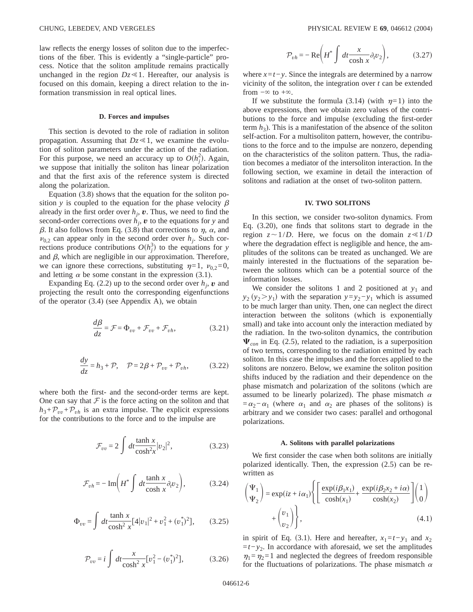law reflects the energy losses of soliton due to the imperfections of the fiber. This is evidently a "single-particle" process. Notice that the soliton amplitude remains practically unchanged in the region  $Dz \ll 1$ . Hereafter, our analysis is focused on this domain, keeping a direct relation to the information transmission in real optical lines.

#### **D. Forces and impulses**

This section is devoted to the role of radiation in soliton propagation. Assuming that  $Dz \ll 1$ , we examine the evolution of soliton parameters under the action of the radiation. For this purpose, we need an accuracy up to  $O(h_j^2)$ . Again, we suppose that initially the soliton has linear polarization and that the first axis of the reference system is directed along the polarization.

Equation (3.8) shows that the equation for the soliton position *y* is coupled to the equation for the phase velocity  $\beta$ already in the first order over  $h_j$ ,  $\boldsymbol{v}$ . Thus, we need to find the second-order corrections over  $h_i$ ,  $\boldsymbol{v}$  to the equations for  $y$  and  $\beta$ . It also follows from Eq. (3.8) that corrections to  $\eta$ ,  $\alpha$ , and  $\nu_{0,2}$  can appear only in the second order over  $h_i$ . Such corrections produce contributions  $O(h_j^3)$  to the equations for *y* and  $\beta$ , which are negligible in our approximation. Therefore, we can ignore these corrections, substituting  $\eta=1$ ,  $\nu_{0,2}=0$ , and letting  $\alpha$  be some constant in the expression (3.1).

Expanding Eq. (2.2) up to the second order over  $h_i$ ,  $\boldsymbol{v}$  and projecting the result onto the corresponding eigenfunctions of the operator (3.4) (see Appendix A), we obtain

$$
\frac{d\beta}{dz} = \mathcal{F} = \Phi_{vv} + \mathcal{F}_{vv} + \mathcal{F}_{vh},\tag{3.21}
$$

$$
\frac{dy}{dz} = h_3 + \mathcal{P}, \quad \mathcal{P} = 2\beta + \mathcal{P}_{vv} + \mathcal{P}_{vh}, \tag{3.22}
$$

where both the first- and the second-order terms are kept. One can say that  $F$  is the force acting on the soliton and that  $h_3 + \mathcal{P}_{vv} + \mathcal{P}_{vh}$  is an extra impulse. The explicit expressions for the contributions to the force and to the impulse are

$$
\mathcal{F}_{vv} = 2 \int dt \frac{\tanh x}{\cosh^2 x} |v_2|^2, \tag{3.23}
$$

$$
\mathcal{F}_{vh} = -\operatorname{Im}\left(H^* \int dt \frac{\tanh x}{\cosh x} \partial_t v_2\right),\tag{3.24}
$$

$$
\Phi_{vv} = \int dt \frac{\tanh x}{\cosh^2 x} [4|v_1|^2 + v_1^2 + (v_1^*)^2],\tag{3.25}
$$

$$
\mathcal{P}_{vv} = i \int dt \frac{x}{\cosh^2 x} [v_1^2 - (v_1^*)^2], \tag{3.26}
$$

$$
\mathcal{P}_{vh} = -\operatorname{Re}\left(H^* \int dt \frac{x}{\cosh x} \partial_t v_2\right),\tag{3.27}
$$

where  $x = t - y$ . Since the integrals are determined by a narrow vicinity of the soliton, the integration over *t* can be extended from  $-\infty$  to  $+\infty$ .

If we substitute the formula (3.14) (with  $\eta=1$ ) into the above expressions, then we obtain zero values of the contributions to the force and impulse (excluding the first-order term  $h_3$ ). This is a manifestation of the absence of the soliton self-action. For a multisoliton pattern, however, the contributions to the force and to the impulse are nonzero, depending on the characteristics of the soliton pattern. Thus, the radiation becomes a mediator of the intersoliton interaction. In the following section, we examine in detail the interaction of solitons and radiation at the onset of two-soliton pattern.

### **IV. TWO SOLITONS**

In this section, we consider two-soliton dynamics. From Eq. (3.20), one finds that solitons start to degrade in the region  $z \sim 1/D$ . Here, we focus on the domain  $z \ll 1/D$ where the degradation effect is negligible and hence, the amplitudes of the solitons can be treated as unchanged. We are mainly interested in the fluctuations of the separation between the solitons which can be a potential source of the information losses.

We consider the solitons 1 and 2 positioned at  $y_1$  and  $y_2$  (*y*<sub>2</sub> > *y*<sub>1</sub>) with the separation *y*=*y*<sub>2</sub>−*y*<sub>1</sub> which is assumed to be much larger than unity. Then, one can neglect the direct interaction between the solitons (which is exponentially small) and take into account only the interaction mediated by the radiation. In the two-soliton dynamics, the contribution  $\Psi_{con}$  in Eq. (2.5), related to the radiation, is a superposition of two terms, corresponding to the radiation emitted by each soliton. In this case the impulses and the forces applied to the solitons are nonzero. Below, we examine the soliton position shifts induced by the radiation and their dependence on the phase mismatch and polarization of the solitons (which are assumed to be linearly polarized). The phase mismatch  $\alpha$  $=\alpha_2-\alpha_1$  (where  $\alpha_1$  and  $\alpha_2$  are phases of the solitons) is arbitrary and we consider two cases: parallel and orthogonal polarizations.

#### **A. Solitons with parallel polarizations**

We first consider the case when both solitons are initially polarized identically. Then, the expression (2.5) can be rewritten as

$$
\begin{pmatrix} \Psi_1 \\ \Psi_2 \end{pmatrix} = \exp(iz + i\alpha_1) \left\{ \left[ \frac{\exp(i\beta_1 x_1)}{\cosh(x_1)} + \frac{\exp(i\beta_2 x_2 + i\alpha)}{\cosh(x_2)} \right] \begin{pmatrix} 1 \\ 0 \end{pmatrix} + \begin{pmatrix} v_1 \\ v_2 \end{pmatrix} \right\},
$$
\n(4.1)

in spirit of Eq. (3.1). Here and hereafter,  $x_1=t-y_1$  and  $x_2$ =*t*−*y*2. In accordance with aforesaid, we set the amplitudes  $\eta_1 = \eta_2 = 1$  and neglected the degrees of freedom responsible for the fluctuations of polarizations. The phase mismatch  $\alpha$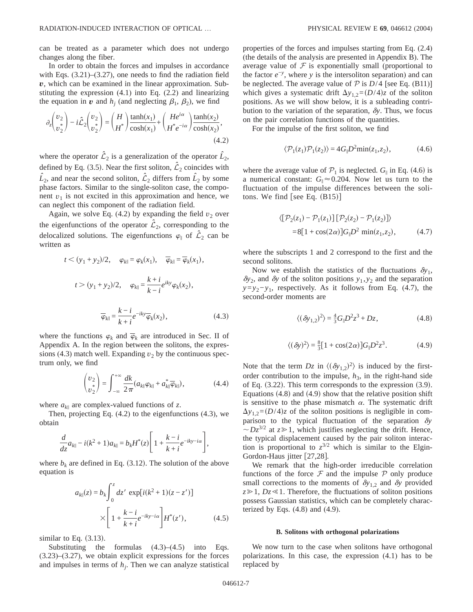can be treated as a parameter which does not undergo changes along the fiber.

In order to obtain the forces and impulses in accordance with Eqs. (3.21)–(3.27), one needs to find the radiation field *v*, which can be examined in the linear approximation. Substituting the expression (4.1) into Eq. (2.2) and linearizing the equation in *v* and  $h_i$  (and neglecting  $\beta_1$ ,  $\beta_2$ ), we find

$$
\partial_z \begin{pmatrix} v_2 \\ v_2^* \end{pmatrix} - i \hat{\mathcal{L}}_2 \begin{pmatrix} v_2 \\ v_2^* \end{pmatrix} = \begin{pmatrix} H \\ H^* \end{pmatrix} \frac{\tanh(x_1)}{\cosh(x_1)} + \begin{pmatrix} He^{i\alpha} \\ H^* e^{-i\alpha} \end{pmatrix} \frac{\tanh(x_2)}{\cosh(x_2)},
$$
\n(4.2)

where the operator  $\hat{\mathcal{L}}_2$  is a generalization of the operator  $\hat{\mathcal{L}}_2$ , defined by Eq. (3.5). Near the first soliton,  $\hat{\mathcal{L}}_2$  coincides with  $\hat{L}_2$ , and near the second soliton,  $\hat{\mathcal{L}}_2$  differs from  $\hat{L}_2$  by some phase factors. Similar to the single-soliton case, the component  $v_1$  is not excited in this approximation and hence, we can neglect this component of the radiation field.

Again, we solve Eq.  $(4.2)$  by expanding the field  $v_2$  over the eigenfunctions of the operator  $\hat{\mathcal{L}}_2$ , corresponding to the delocalized solutions. The eigenfunctions  $\varphi_{\parallel}$  of  $\mathcal{L}_2$  can be written as

$$
t < (y_1 + y_2)/2, \quad \varphi_{k\parallel} = \varphi_k(x_1), \quad \overline{\varphi}_{k\parallel} = \overline{\varphi}_k(x_1),
$$

$$
t > (y_1 + y_2)/2, \quad \varphi_{k\parallel} = \frac{k + i}{k - i} e^{iky} \varphi_k(x_2),
$$

$$
\overline{\varphi}_{k\parallel} = \frac{k - i}{k + i} e^{-iky} \overline{\varphi}_k(x_2), \tag{4.3}
$$

where the functions  $\varphi_k$  and  $\overline{\varphi}_k$  are introduced in Sec. II of Appendix A. In the region between the solitons, the expressions (4.3) match well. Expanding  $v_2$  by the continuous spectrum only, we find

$$
\begin{pmatrix} v_2 \\ v_2 \end{pmatrix} = \int_{-\infty}^{+\infty} \frac{dk}{2\pi} (a_{k\parallel} \varphi_{k\parallel} + a_{k\parallel}^* \overline{\varphi}_{k\parallel}), \qquad (4.4)
$$

where  $a_{k\parallel}$  are complex-valued functions of *z*.

Then, projecting Eq. (4.2) to the eigenfunctions (4.3), we obtain

$$
\frac{d}{dz}a_{k\parallel} - i(k^2 + 1)a_{k\parallel} = b_k H^*(z) \left[ 1 + \frac{k - i}{k + i} e^{-iky - i\alpha} \right],
$$

where  $b_k$  are defined in Eq. (3.12). The solution of the above equation is

$$
a_{k\parallel}(z) = b_k \int_0^z dz' \, \exp[i(k^2 + 1)(z - z')]
$$

$$
\times \left[ 1 + \frac{k - i}{k + i} e^{-iky - i\alpha} \right] H^*(z'), \tag{4.5}
$$

similar to Eq.  $(3.13)$ .

Substituting the formulas  $(4.3)$ – $(4.5)$  into Eqs. (3.23)–(3.27), we obtain explicit expressions for the forces and impulses in terms of  $h_j$ . Then we can analyze statistical

properties of the forces and impulses starting from Eq. (2.4) (the details of the analysis are presented in Appendix B). The average value of  $F$  is exponentially small (proportional to the factor *e*−*<sup>y</sup>* , where *y* is the intersoliton separation) and can be neglected. The average value of  $P$  is  $D/4$  [see Eq. (B11)] which gives a systematic drift  $\Delta y_{1,2} = (D/4)z$  of the soliton positions. As we will show below, it is a subleading contribution to the variation of the separation,  $\delta y$ . Thus, we focus on the pair correlation functions of the quantities.

For the impulse of the first soliton, we find

$$
\langle \mathcal{P}_1(z_1)\mathcal{P}_1(z_2)\rangle = 4G_{\parallel}D^2 \min(z_1, z_2),\tag{4.6}
$$

where the average value of  $P_1$  is neglected.  $G_{\parallel}$  in Eq. (4.6) is a numerical constant:  $G_{\parallel} \approx 0.204$ . Now let us turn to the fluctuation of the impulse differences between the solitons. We find [see Eq.  $(B15)$ ]

$$
\langle [\mathcal{P}_2(z_1) - \mathcal{P}_1(z_1)] [\mathcal{P}_2(z_2) - \mathcal{P}_1(z_2)] \rangle
$$
  
= 8[1 + cos(2\alpha)]G<sub>1</sub>D<sup>2</sup> min(z<sub>1</sub>, z<sub>2</sub>), (4.7)

where the subscripts 1 and 2 correspond to the first and the second solitons.

Now we establish the statistics of the fluctuations  $\delta y_1$ ,  $\delta y_2$ , and  $\delta y$  of the soliton positions  $y_1, y_2$  and the separation *y*=*y*<sub>2</sub>−*y*<sub>1</sub>, respectively. As it follows from Eq. (4.7), the second-order moments are

$$
\langle (\delta y_{1,2})^2 \rangle = \frac{4}{3} G_{\parallel} D^2 z^3 + D z, \qquad (4.8)
$$

$$
\langle (\delta y)^2 \rangle = \frac{8}{3} [1 + \cos(2\alpha)] G_{\parallel} D^2 z^3. \tag{4.9}
$$

Note that the term  $Dz$  in  $\langle (\delta y_{1,2})^2 \rangle$  is induced by the firstorder contribution to the impulse,  $h_3$ , in the right-hand side of Eq.  $(3.22)$ . This term corresponds to the expression  $(3.9)$ . Equations  $(4.8)$  and  $(4.9)$  show that the relative position shift is sensitive to the phase mismatch  $\alpha$ . The systematic drift  $\Delta y_{1,2}$ = $(D/4)z$  of the soliton positions is negligible in comparison to the typical fluctuation of the separation  $\delta y$  $\sim Dz^{3/2}$  at  $z \ge 1$ , which justifies neglecting the drift. Hence, the typical displacement caused by the pair soliton interaction is proportional to  $z^{3/2}$  which is similar to the Elgin-Gordon-Haus jitter  $[27,28]$ .

We remark that the high-order irreducible correlation functions of the force  $\mathcal F$  and the impulse  $\mathcal P$  only produce small corrections to the moments of  $\delta y_{1,2}$  and  $\delta y$  provided  $z \geq 1$ , *Dz* < 1. Therefore, the fluctuations of soliton positions possess Gaussian statistics, which can be completely characterized by Eqs.  $(4.8)$  and  $(4.9)$ .

#### **B. Solitons with orthogonal polarizations**

We now turn to the case when solitons have orthogonal polarizations. In this case, the expression (4.1) has to be replaced by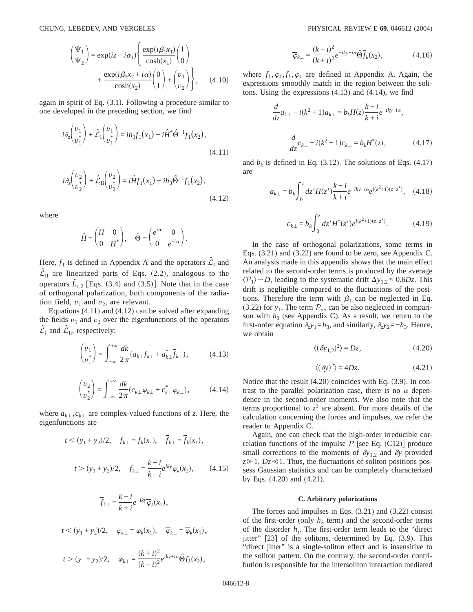$$
\begin{pmatrix} \Psi_1 \\ \Psi_2 \end{pmatrix} = \exp(iz + i\alpha_1) \begin{cases} \exp(i\beta_1 x_1) \\ \cosh(x_1) \\ 0 \end{cases} + \frac{\exp(i\beta_2 x_2 + i\alpha)}{\cosh(x_2)} \begin{pmatrix} 0 \\ 1 \end{pmatrix} + \begin{pmatrix} v_1 \\ v_2 \end{pmatrix} \end{pmatrix}, \quad (4.10)
$$

again in spirit of Eq.  $(3.1)$ . Following a procedure similar to one developed in the preceding section, we find

$$
i\partial_z \begin{pmatrix} v_1 \\ v_1^* \end{pmatrix} + \hat{\mathcal{L}}_1 \begin{pmatrix} v_1 \\ v_1^* \end{pmatrix} = i h_3 f_1(x_1) + i \hat{H}^* \hat{\Theta}^{-1} f_1(x_2),
$$
\n(4.11)

$$
i\partial_z \begin{pmatrix} v_2 \\ v_2 \end{pmatrix} + \hat{\mathcal{L}}_{II} \begin{pmatrix} v_2 \\ v_2 \end{pmatrix} = i\hat{H}f_1(x_1) - ih_3 \hat{\Theta}^{-1}f_1(x_2),
$$
\n(4.12)

where

$$
\hat{H} = \begin{pmatrix} H & 0 \\ 0 & H^* \end{pmatrix}, \quad \hat{\Theta} = \begin{pmatrix} e^{i\alpha} & 0 \\ 0 & e^{-i\alpha} \end{pmatrix}.
$$

Here,  $f_1$  is defined in Appendix A and the operators  $\mathcal{L}_I$  and  $\mathcal{L}_{II}$  are linearized parts of Eqs. (2.2), analogous to the operators  $\hat{L}_{1,2}$  [Eqs. (3.4) and (3.5)]. Note that in the case of orthogonal polarization, both components of the radiation field,  $v_1$  and  $v_2$ , are relevant.

Equations (4.11) and (4.12) can be solved after expanding the fields  $v_1$  and  $v_2$  over the eigenfunctions of the operators  $\hat{\mathcal{L}}_{\text{I}}$  and  $\hat{\mathcal{L}}_{\text{II}}$ , respectively:

$$
\begin{pmatrix} v_1 \\ v_1^* \end{pmatrix} = \int_{-\infty}^{+\infty} \frac{dk}{2\pi} (a_{k\perp} f_{k\perp} + a_{k\perp}^* \overline{f}_{k\perp}), \tag{4.13}
$$

$$
\begin{pmatrix} v_2 \\ v_2^* \end{pmatrix} = \int_{-\infty}^{+\infty} \frac{dk}{2\pi} (c_{k\perp} \varphi_{k\perp} + c_{k\perp}^* \overline{\varphi}_{k\perp}), \tag{4.14}
$$

where  $a_{k\perp}, c_{k\perp}$  are complex-valued functions of *z*. Here, the eigenfunctions are

$$
t < (y_1 + y_2)/2, \quad f_{k\perp} = f_k(x_1), \quad \bar{f}_{k\perp} = \bar{f}_k(x_1),
$$

$$
t > (y_1 + y_2)/2, \quad f_{k\perp} = \frac{k + i}{k - i} e^{iky} \varphi_k(x_2), \quad (4.15)
$$

$$
\overline{f}_{k\perp} = \frac{k - i}{k + i} e^{-iky} \overline{\varphi}_k(x_2),
$$
\n
$$
t < (y_1 + y_2)/2, \quad \varphi_{k\perp} = \varphi_k(x_1), \quad \overline{\varphi}_{k\perp} = \overline{\varphi}_k(x_1),
$$
\n
$$
t > (y_1 + y_2)/2, \quad \varphi_{k\perp} = \frac{(k + i)^2}{(k - i)^2} e^{iky + i\alpha} \hat{\Theta} f_k(x_2),
$$

$$
\overline{\varphi}_{k\perp} = \frac{(k-i)^2}{(k+i)^2} e^{-iky-i\alpha} \widehat{\Theta} \overline{f}_k(x_2),
$$
\n(4.16)

where  $f_k$ ,  $\varphi_k$ ,  $f_k$ ,  $\overline{\varphi}_k$  are defined in Appendix A. Again, the expressions smoothly match in the region between the solitons. Using the expressions (4.13) and (4.14), we find

$$
\frac{d}{dz}a_{k\perp} - i(k^2 + 1)a_{k\perp} = b_k H(z) \frac{k - i}{k + i} e^{-iky - i\alpha},
$$

$$
\frac{d}{dz}c_{k\perp} - i(k^2 + 1)c_{k\perp} = b_k H^*(z), \qquad (4.17)
$$

and  $b_k$  is defined in Eq. (3.12). The solutions of Eqs. (4.17) are

$$
a_{k\perp} = b_k \int_0^z dz' H(z') \frac{k - i}{k + i} e^{-iky - i\alpha} e^{i(k^2 + 1)(z - z')}, \quad (4.18)
$$

$$
c_{k\perp} = b_k \int_0^z dz' H^*(z') e^{i(k^2+1)(z-z')}.
$$
 (4.19)

In the case of orthogonal polarizations, some terms in Eqs. (3.21) and (3.22) are found to be zero, see Appendix C. An analysis made in this appendix shows that the main effect related to the second-order terms is produced by the average  $\langle P_1 \rangle \sim D$ , leading to the systematic drift  $\Delta y_{1,2} \approx 0.6Dz$ . This drift is negligible compared to the fluctuations of the positions. Therefore the term with  $\beta_1$  can be neglected in Eq. (3.22) for  $y_1$ . The term  $\mathcal{P}_{vv}$  can be also neglected in comparison with  $h_3$  (see Appendix C). As a result, we return to the first-order equation  $\partial_z y_1 = h_3$ , and similarly,  $\partial_z y_2 = -h_3$ . Hence, we obtain

$$
\langle (\delta y_{1,2})^2 \rangle = Dz,\tag{4.20}
$$

$$
\langle (\delta y)^2 \rangle = 4Dz. \tag{4.21}
$$

Notice that the result  $(4.20)$  coincides with Eq.  $(3.9)$ . In contrast to the parallel polarization case, there is no  $\alpha$  dependence in the second-order moments. We also note that the terms proportional to  $z<sup>3</sup>$  are absent. For more details of the calculation concerning the forces and impulses, we refer the reader to Appendix C.

Again, one can check that the high-order irreducible correlation functions of the impulse  $P$  [see Eq. (C12)] produce small corrections to the moments of  $\delta y_{1,2}$  and  $\delta y$  provided  $z \geq 1$ ,  $Dz \leq 1$ . Thus, the fluctuations of soliton positions possess Gaussian statistics and can be completely characterized by Eqs. (4.20) and (4.21).

#### **C. Arbitrary polarizations**

The forces and impulses in Eqs. (3.21) and (3.22) consist of the first-order (only  $h_3$  term) and the second-order terms of the disorder  $h_i$ . The first-order term leads to the "direct" jitter" [23] of the solitons, determined by Eq. (3.9). This "direct jitter" is a single-soliton effect and is insensitive to the soliton pattern. On the contrary, the second-order contribution is responsible for the intersoliton interaction mediated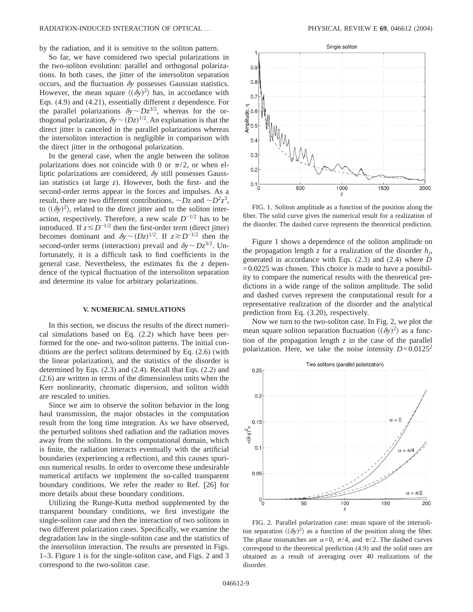by the radiation, and it is sensitive to the soliton pattern.

So far, we have considered two special polarizations in the two-soliton evolution: parallel and orthogonal polarizations. In both cases, the jitter of the intersoliton separation occurs, and the fluctuation  $\delta y$  possesses Gaussian statistics. However, the mean square  $\langle (\delta y)^2 \rangle$  has, in accordance with Eqs. (4.9) and (4.21), essentially different *z* dependence. For the parallel polarizations  $\delta y \sim Dz^{3/2}$ , whereas for the orthogonal polarization,  $\delta y \sim (Dz)^{1/2}$ . An explanation is that the direct jitter is canceled in the parallel polarizations whereas the intersoliton interaction is negligible in comparison with the direct jitter in the orthogonal polarization.

In the general case, when the angle between the soliton polarizations does not coincide with 0 or  $\pi/2$ , or when elliptic polarizations are considered, <sup>d</sup>*y* still possesses Gaussian statistics (at large *z*). However, both the first- and the second-order terms appear in the forces and impulses. As a result, there are two different contributions,  $\sim Dz$  and  $\sim D^2z^3$ , to  $\langle (\delta y)^2 \rangle$ , related to the direct jitter and to the soliton interaction, respectively. Therefore, a new scale  $D^{-1/2}$  has to be introduced. If  $z \lesssim D^{-1/2}$  then the first-order term (direct jitter) becomes dominant and  $\delta y \sim (Dz)^{1/2}$ . If  $z \gtrsim D^{-1/2}$  then the second-order terms (interaction) prevail and  $\delta y \sim Dz^{3/2}$ . Unfortunately, it is a difficult task to find coefficients in the general case. Nevertheless, the estimates fix the *z* dependence of the typical fluctuation of the intersoliton separation and determine its value for arbitrary polarizations.

#### **V. NUMERICAL SIMULATIONS**

In this section, we discuss the results of the direct numerical simulations based on Eq. (2.2) which have been performed for the one- and two-soliton patterns. The initial conditions are the perfect solitons determined by Eq. (2.6) (with the linear polarization), and the statistics of the disorder is determined by Eqs. (2.3) and (2.4). Recall that Eqs. (2.2) and (2.6) are written in terms of the dimensionless units when the Kerr nonlinearity, chromatic dispersion, and soliton width are rescaled to unities.

Since we aim to observe the soliton behavior in the long haul transmission, the major obstacles in the computation result from the long time integration. As we have observed, the perturbed solitons shed radiation and the radiation moves away from the solitons. In the computational domain, which is finite, the radiation interacts eventually with the artificial boundaries (experiencing a reflection), and this causes spurious numerical results. In order to overcome these undesirable numerical artifacts we implement the so-called transparent boundary conditions. We refer the reader to Ref. [26] for more details about these boundary conditions.

Utilizing the Runge-Kutta method supplemented by the transparent boundary conditions, we first investigate the single-soliton case and then the interaction of two solitons in two different polarization cases. Specifically, we examine the degradation law in the single-soliton case and the statistics of the intersoliton interaction. The results are presented in Figs. 1–3. Figure 1 is for the single-soliton case, and Figs. 2 and 3 correspond to the two-soliton case.



FIG. 1. Soliton amplitude as a function of the position along the fiber. The solid curve gives the numerical result for a realization of the disorder. The dashed curve represents the theoretical prediction.

Figure 1 shows a dependence of the soliton amplitude on the propagation length *z* for a realization of the disorder  $h_i$ , generated in accordance with Eqs. (2.3) and (2.4) where *D*  $=0.0225$  was chosen. This choice is made to have a possibility to compare the numerical results with the theoretical predictions in a wide range of the soliton amplitude. The solid and dashed curves represent the computational result for a representative realization of the disorder and the analytical prediction from Eq. (3.20), respectively.

Now we turn to the two-soliton case. In Fig. 2, we plot the mean square soliton separation fluctuation  $\langle (\delta y)^2 \rangle$  as a function of the propagation length  $z$  in the case of the parallel polarization. Here, we take the noise intensity  $D=0.0125^2$ 



FIG. 2. Parallel polarization case: mean square of the intersoliton separation  $\langle (\delta y)^2 \rangle$  as a function of the position along the fiber. The phase mismatches are  $\alpha=0$ ,  $\pi/4$ , and  $\pi/2$ . The dashed curves correspond to the theoretical prediction (4.9) and the solid ones are obtained as a result of averaging over 40 realizations of the disorder.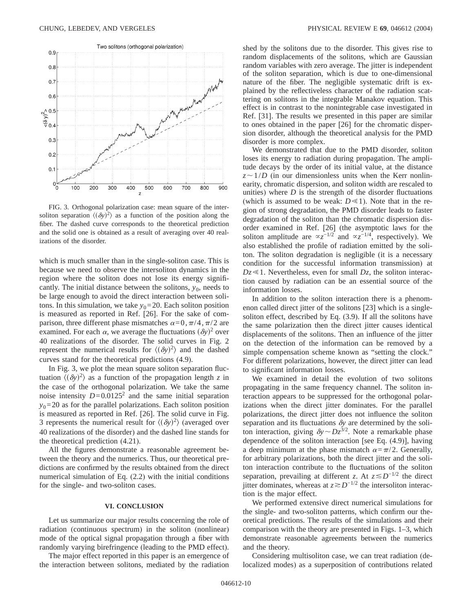

FIG. 3. Orthogonal polarization case: mean square of the intersoliton separation  $\langle (\delta y)^2 \rangle$  as a function of the position along the fiber. The dashed curve corresponds to the theoretical prediction and the solid one is obtained as a result of averaging over 40 realizations of the disorder.

which is much smaller than in the single-soliton case. This is because we need to observe the intersoliton dynamics in the region where the soliton does not lose its energy significantly. The initial distance between the solitons,  $y_0$ , needs to be large enough to avoid the direct interaction between solitons. In this simulation, we take  $y_0=20$ . Each soliton position is measured as reported in Ref. [26]. For the sake of comparison, three different phase mismatches  $\alpha=0,\pi/4,\pi/2$  are examined. For each  $\alpha$ , we average the fluctuations  $(\delta y)^2$  over 40 realizations of the disorder. The solid curves in Fig. 2 represent the numerical results for  $\langle (\delta y)^2 \rangle$  and the dashed curves stand for the theoretical predictions (4.9).

In Fig. 3, we plot the mean square soliton separation fluctuation  $\langle (\delta y)^2 \rangle$  as a function of the propagation length *z* in the case of the orthogonal polarization. We take the same noise intensity  $D=0.0125^2$  and the same initial separation  $y_0$ =20 as for the parallel polarizations. Each soliton position is measured as reported in Ref. [26]. The solid curve in Fig. 3 represents the numerical result for  $\langle (\delta y)^2 \rangle$  (averaged over 40 realizations of the disorder) and the dashed line stands for the theoretical prediction (4.21).

All the figures demonstrate a reasonable agreement between the theory and the numerics. Thus, our theoretical predictions are confirmed by the results obtained from the direct numerical simulation of Eq. (2.2) with the initial conditions for the single- and two-soliton cases.

## **VI. CONCLUSION**

Let us summarize our major results concerning the role of radiation (continuous spectrum) in the soliton (nonlinear) mode of the optical signal propagation through a fiber with randomly varying birefringence (leading to the PMD effect).

The major effect reported in this paper is an emergence of the interaction between solitons, mediated by the radiation shed by the solitons due to the disorder. This gives rise to random displacements of the solitons, which are Gaussian random variables with zero average. The jitter is independent of the soliton separation, which is due to one-dimensional nature of the fiber. The negligible systematic drift is explained by the reflectiveless character of the radiation scattering on solitons in the integrable Manakov equation. This effect is in contrast to the nonintegrable case investigated in Ref. [31]. The results we presented in this paper are similar to ones obtained in the paper [26] for the chromatic dispersion disorder, although the theoretical analysis for the PMD disorder is more complex.

We demonstrated that due to the PMD disorder, soliton loses its energy to radiation during propagation. The amplitude decays by the order of its initial value, at the distance  $z \sim 1/D$  (in our dimensionless units when the Kerr nonlinearity, chromatic dispersion, and soliton width are rescaled to unities) where  $D$  is the strength of the disorder fluctuations (which is assumed to be weak:  $D \ll 1$ ). Note that in the region of strong degradation, the PMD disorder leads to faster degradation of the soliton than the chromatic dispersion disorder examined in Ref. [26] (the asymptotic laws for the soliton amplitude are  $\alpha z^{-1/2}$  and  $\alpha z^{-1/4}$ , respectively). We also established the profile of radiation emitted by the soliton. The soliton degradation is negligible (it is a necessary condition for the successful information transmission) at  $Dz \ll 1$ . Nevertheless, even for small  $Dz$ , the soliton interaction caused by radiation can be an essential source of the information losses.

In addition to the soliton interaction there is a phenomenon called direct jitter of the solitons [23] which is a singlesoliton effect, described by Eq. (3.9). If all the solitons have the same polarization then the direct jitter causes identical displacements of the solitons. Then an influence of the jitter on the detection of the information can be removed by a simple compensation scheme known as "setting the clock." For different polarizations, however, the direct jitter can lead to significant information losses.

We examined in detail the evolution of two solitons propagating in the same frequency channel. The soliton interaction appears to be suppressed for the orthogonal polarizations when the direct jitter dominates. For the parallel polarizations, the direct jitter does not influence the soliton separation and its fluctuations  $\delta y$  are determined by the soliton interaction, giving  $\delta y \sim Dz^{3/2}$ . Note a remarkable phase dependence of the soliton interaction [see Eq. (4.9)], having a deep minimum at the phase mismatch  $\alpha = \pi/2$ . Generally, for arbitrary polarizations, both the direct jitter and the soliton interaction contribute to the fluctuations of the soliton separation, prevailing at different *z*. At  $z \le D^{-1/2}$  the direct jitter dominates, whereas at  $z \ge D^{-1/2}$  the intersoliton interaction is the major effect.

We performed extensive direct numerical simulations for the single- and two-soliton patterns, which confirm our theoretical predictions. The results of the simulations and their comparison with the theory are presented in Figs. 1–3, which demonstrate reasonable agreements between the numerics and the theory.

Considering multisoliton case, we can treat radiation (delocalized modes) as a superposition of contributions related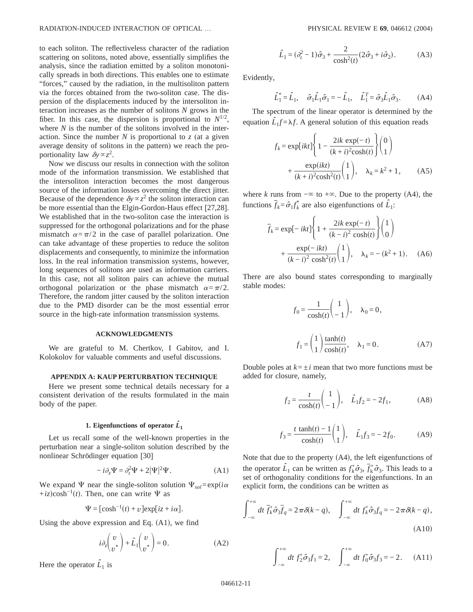to each soliton. The reflectiveless character of the radiation scattering on solitons, noted above, essentially simplifies the analysis, since the radiation emitted by a soliton monotonically spreads in both directions. This enables one to estimate "forces," caused by the radiation, in the multisoliton pattern via the forces obtained from the two-soliton case. The dispersion of the displacements induced by the intersoliton interaction increases as the number of solitons *N* grows in the fiber. In this case, the dispersion is proportional to  $N^{1/2}$ , where *N* is the number of the solitons involved in the interaction. Since the number  $N$  is proportional to  $z$  (at a given average density of solitons in the pattern) we reach the proportionality law  $\delta y \propto z^2$ .

Now we discuss our results in connection with the soliton mode of the information transmission. We established that the intersoliton interaction becomes the most dangerous source of the information losses overcoming the direct jitter. Because of the dependence  $\delta y \propto z^2$  the soliton interaction can be more essential than the Elgin-Gordon-Haus effect [27,28]. We established that in the two-soliton case the interaction is suppressed for the orthogonal polarizations and for the phase mismatch  $\alpha = \pi/2$  in the case of parallel polarization. One can take advantage of these properties to reduce the soliton displacements and consequently, to minimize the information loss. In the real information transmission systems, however, long sequences of solitons are used as information carriers. In this case, not all soliton pairs can achieve the mutual orthogonal polarization or the phase mismatch  $\alpha = \pi/2$ . Therefore, the random jitter caused by the soliton interaction due to the PMD disorder can be the most essential error source in the high-rate information transmission systems.

## **ACKNOWLEDGMENTS**

We are grateful to M. Chertkov, I Gabitov, and I. Kolokolov for valuable comments and useful discussions.

#### **APPENDIX A: KAUP PERTURBATION TECHNIQUE**

Here we present some technical details necessary for a consistent derivation of the results formulated in the main body of the paper.

# 1. Eigenfunctions of operator  $\hat{L}_1$

Let us recall some of the well-known properties in the perturbation near a single-soliton solution described by the nonlinear Schrödinger equation [30]

$$
-i\partial_z \Psi = \partial_t^2 \Psi + 2|\Psi|^2 \Psi.
$$
 (A1)

We expand  $\Psi$  near the single-soliton solution  $\Psi_{sol} = \exp(i\alpha)$ + $iz$ )cosh<sup>-1</sup>(*t*). Then, one can write  $\Psi$  as

$$
\Psi = [\cosh^{-1}(t) + v] \exp[iz + i\alpha].
$$

Using the above expression and Eq.  $(A1)$ , we find

$$
i\partial_z \begin{pmatrix} v \\ v^* \end{pmatrix} + \hat{L}_1 \begin{pmatrix} v \\ v^* \end{pmatrix} = 0.
$$
 (A2)

Here the operator  $\hat{L}_1$  is

$$
\hat{L}_1 = (\partial_t^2 - 1)\hat{\sigma}_3 + \frac{2}{\cosh^2(t)}(2\hat{\sigma}_3 + i\hat{\sigma}_2). \tag{A3}
$$

Evidently,

$$
\hat{L}_1^* = \hat{L}_1, \quad \hat{\sigma}_1 \hat{L}_1 \hat{\sigma}_1 = -\hat{L}_1, \quad \hat{L}_1^T = \hat{\sigma}_3 \hat{L}_1 \hat{\sigma}_3. \tag{A4}
$$

The spectrum of the linear operator is determined by the equation  $\hat{L}_1 f = \lambda f$ . A general solution of this equation reads

$$
f_k = \exp[ikt] \left\{ 1 - \frac{2ik \exp(-t)}{(k+i)^2 \cosh(t)} \right\} {0 \choose 1} + \frac{\exp(ikt)}{(k+i)^2 \cosh^2(t)} {1 \choose 1}, \quad \lambda_k = k^2 + 1,
$$
 (A5)

where *k* runs from  $-\infty$  to  $+\infty$ . Due to the property (A4), the functions  $\bar{f}_k = \hat{\sigma}_1 f_k^*$  are also eigenfunctions of  $\hat{L}_1$ :

$$
\overline{f}_k = \exp[-ikt] \left\{ 1 + \frac{2ik \exp(-t)}{(k-i)^2 \cosh(t)} \right\} \begin{pmatrix} 1 \\ 0 \end{pmatrix}
$$

$$
+ \frac{\exp(-ikt)}{(k-i)^2 \cosh^2(t)} \begin{pmatrix} 1 \\ 1 \end{pmatrix}, \quad \lambda_k = -(k^2 + 1). \quad (A6)
$$

There are also bound states corresponding to marginally stable modes:

$$
f_0 = \frac{1}{\cosh(t)} \begin{pmatrix} 1 \\ -1 \end{pmatrix}, \quad \lambda_0 = 0,
$$

$$
f_1 = \begin{pmatrix} 1 \\ 1 \end{pmatrix} \frac{\tanh(t)}{\cosh(t)}, \quad \lambda_1 = 0.
$$
 (A7)

Double poles at  $k = \pm i$  mean that two more functions must be added for closure, namely,

$$
f_2 = \frac{t}{\cosh(t)} \begin{pmatrix} 1 \\ -1 \end{pmatrix}, \quad \hat{L}_1 f_2 = -2f_1,
$$
 (A8)

$$
f_3 = \frac{t \tanh(t) - 1}{\cosh(t)} \begin{pmatrix} 1 \\ 1 \end{pmatrix}, \quad \hat{L}_1 f_3 = -2f_0.
$$
 (A9)

Note that due to the property  $(A4)$ , the left eigenfunctions of the operator  $\hat{L}_1$  can be written as  $f_k^{\dagger} \hat{\sigma}_3$ ,  $\bar{f}_k^{\dagger} \hat{\sigma}_3$ . This leads to a set of orthogonality conditions for the eigenfunctions. In an explicit form, the conditions can be written as

$$
\int_{-\infty}^{+\infty} dt \, \overline{f}_k^+ \hat{\sigma}_3 \overline{f}_q = 2\pi \delta(k-q), \quad \int_{-\infty}^{+\infty} dt \, f_k^+ \hat{\sigma}_3 f_q = -2\pi \delta(k-q),
$$
\n(A10)

$$
\int_{-\infty}^{+\infty} dt \, f_2^+ \hat{\sigma}_3 f_1 = 2, \quad \int_{-\infty}^{+\infty} dt \, f_0^+ \hat{\sigma}_3 f_3 = -2. \quad (A11)
$$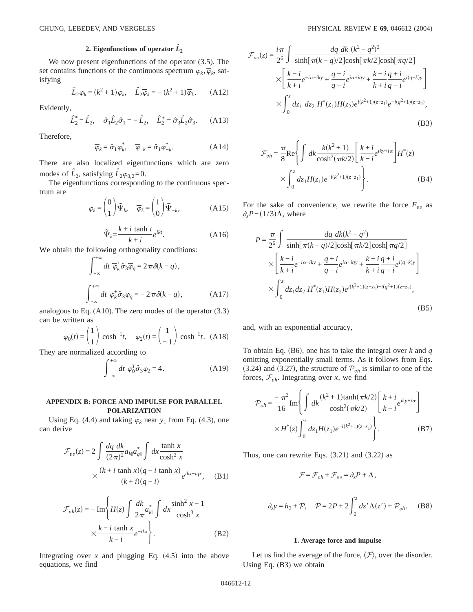# 2. Eigenfunctions of operator  $\hat{L}_2$

We now present eigenfunctions of the operator (3.5). The set contains functions of the continuous spectrum  $\varphi_k$ ,  $\overline{\varphi}_k$ , satisfying

$$
\hat{L}_2 \varphi_k = (k^2 + 1)\varphi_k, \quad \hat{L}_2 \overline{\varphi}_k = -(k^2 + 1)\overline{\varphi}_k. \quad (A12)
$$

Evidently,

$$
\hat{L}_2^* = \hat{L}_2, \quad \hat{\sigma}_1 \hat{L}_2 \hat{\sigma}_1 = -\hat{L}_2, \quad \hat{L}_2^* = \hat{\sigma}_3 \hat{L}_2 \hat{\sigma}_3.
$$
 (A13)

Therefore,

$$
\overline{\varphi}_k = \hat{\sigma}_1 \varphi_k^*, \quad \overline{\varphi}_{-k} = \hat{\sigma}_1 \varphi_{-k}^*.
$$
 (A14)

There are also localized eigenfunctions which are zero modes of  $\hat{L}_2$ , satisfying  $\hat{L}_2\varphi_{0,2}=0$ .

The eigenfunctions corresponding to the continuous spectrum are

$$
\varphi_k = \begin{pmatrix} 0 \\ 1 \end{pmatrix} \widetilde{\Psi}_k, \quad \overline{\varphi}_k = \begin{pmatrix} 1 \\ 0 \end{pmatrix} \widetilde{\Psi}_{-k}, \tag{A15}
$$

$$
\widetilde{\Psi}_k = \frac{k + i \tanh t}{k + i} e^{ikt}.
$$
\n(A16)

We obtain the following orthogonality conditions:  
\n
$$
\int_{-\infty}^{+\infty} dt \overline{\varphi}_k^+ \hat{\sigma}_3 \overline{\varphi}_q = 2 \pi \delta(k - q),
$$
\n
$$
\int_{-\infty}^{+\infty} dt \varphi_k^+ \hat{\sigma}_3 \varphi_q = -2 \pi \delta(k - q), \qquad (A17)
$$

analogous to Eq. (A10). The zero modes of the operator (3.3) can be written as

$$
\varphi_0(t) = \begin{pmatrix} 1 \\ 1 \end{pmatrix} \cosh^{-1}t, \quad \varphi_2(t) = \begin{pmatrix} 1 \\ -1 \end{pmatrix} \cosh^{-1}t. \quad \text{(A18)}
$$

They are normalized according to<br>  $\int_{0}^{+\infty} dt \varphi_0^T \hat{\sigma}_3 d\theta$ 

$$
\int_{-\infty}^{+\infty} dt \varphi_0^T \hat{\sigma}_3 \varphi_2 = 4. \tag{A19}
$$

## **APPENDIX B: FORCE AND IMPULSE FOR PARALLEL POLARIZATION**

Using Eq. (4.4) and taking  $\varphi_k$  near  $y_1$  from Eq. (4.3), one can derive

$$
\mathcal{F}_{vv}(z) = 2 \int \frac{dq \, dk}{(2\pi)^2} a_{kl} a_{ql}^* \int dx \frac{\tanh x}{\cosh^2 x}
$$

$$
\times \frac{(k+i \tanh x)(q-i \tanh x)}{(k+i)(q-i)} e^{ikx-iqx}, \quad (B1)
$$

$$
\mathcal{F}_{vh}(z) = -\operatorname{Im}\left\{H(z) \int \frac{dk}{2\pi} a_{k\parallel}^* \int dx \frac{\sinh^2 x - 1}{\cosh^3 x} \times \frac{k - i \tanh x}{k - i} e^{-ikx} \right\}.
$$
\n(B2)

Integrating over  $x$  and plugging Eq.  $(4.5)$  into the above equations, we find

$$
\mathcal{F}_{vv}(z) = \frac{i\pi}{2^6} \int \frac{dq \, dk \, (k^2 - q^2)^2}{\sinh[\pi(k - q)/2] \cosh[\pi k/2] \cosh[\pi q/2]} \times \left[ \frac{k - i}{k + i} e^{-i\alpha - iky} + \frac{q + i}{q - i} e^{i\alpha + iqy} + \frac{k - i}{k + i} \frac{q + i}{q - i} e^{i(q - k)y} \right] \times \int_0^z dz_1 \, dz_2 \, H^*(z_1) H(z_2) e^{i(k^2 + 1)(z - z_1)} e^{-i(q^2 + 1)(z - z_2)},
$$
\n(B3)

$$
\mathcal{F}_{vh} = \frac{\pi}{8} \text{Re} \left\{ \int dk \frac{k(k^2+1)}{\cosh^2(\pi k/2)} \left[ \frac{k+i}{k-i} e^{iky+i\alpha} \right] H^*(z) \right. \\
\times \int_0^z dz_1 H(z_1) e^{-i(k^2+1)(z-z_1)} \left. \right\}.
$$
\n(B4)

For the sake of convenience, we rewrite the force  $F_{vv}$  as  $\partial_z P - (1/3)\Lambda$ , where

$$
P = \frac{\pi}{2^6} \int \frac{dq \, dk(k^2 - q^2)}{\sinh[\pi(k - q)/2] \cosh[\pi k/2] \cosh[\pi q/2]} \times \left[ \frac{k - i}{k + i} e^{-i\alpha - iky} + \frac{q + i}{q - i} e^{i\alpha + iqy} + \frac{k - i}{k + i} \frac{q + i}{q - i} e^{i(q - k)y} \right] \times \int_0^z dz_1 dz_2 H^*(z_1) H(z_2) e^{i(k^2 + 1)(z - z_1) - i(q^2 + 1)(z - z_2)},
$$
\n(B5)

and, with an exponential accuracy,

To obtain Eq. (B6), one has to take the integral over  $k$  and  $q$ omitting exponentially small terms. As it follows from Eqs. (3.24) and (3.27), the structure of  $P_{vh}$  is similar to one of the forces,  $\mathcal{F}_{vh}$ . Integrating over *x*, we find

$$
\mathcal{P}_{vh} = \frac{-\pi^2}{16} \text{Im} \left\{ \int dk \frac{(k^2 + 1)\tanh(\pi k/2)}{\cosh^2(\pi k/2)} \left[ \frac{k + i}{k - i} e^{iky + i\alpha} \right] \right. \\
 \times H^*(z) \int_0^z dz_1 H(z_1) e^{-i(k^2 + 1)(z - z_1)} \left. \right\}.
$$
\n(B7)

Thus, one can rewrite Eqs.  $(3.21)$  and  $(3.22)$  as

$$
\mathcal{F} = \mathcal{F}_{vh} + \mathcal{F}_{vv} = \partial_z P + \Lambda,
$$
  

$$
\partial_z y = h_3 + \mathcal{P}, \quad \mathcal{P} = 2P + 2 \int_0^z dz' \Lambda(z') + \mathcal{P}_{vh}. \quad (B8)
$$

## **1. Average force and impulse**

Let us find the average of the force,  $\langle \mathcal{F} \rangle$ , over the disorder. Using Eq. (B3) we obtain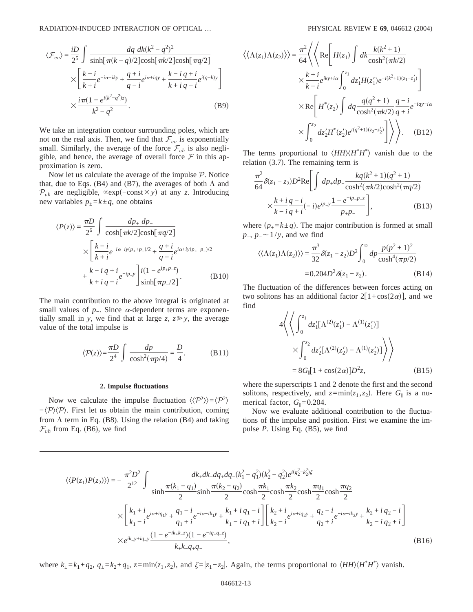$$
\langle \mathcal{F}_{vv} \rangle = \frac{iD}{2^5} \int \frac{dq \, dk (k^2 - q^2)^2}{\sinh[\pi(k - q)/2] \cosh[\pi k/2] \cosh[\pi q/2]} \times \left[ \frac{k - i}{k + i} e^{-i\alpha - iky} + \frac{q + i}{q - i} e^{i\alpha + iqy} + \frac{k - i}{k + i} \frac{q + i}{q - i} e^{i(q - k)y} \right] \times \frac{i\pi(1 - e^{i(k^2 - q^2)z})}{k^2 - q^2}.
$$
\n(B9)

We take an integration contour surrounding poles, which are not on the real axis. Then, we find that  $\mathcal{F}_{vv}$  is exponentially small. Similarly, the average of the force  $\mathcal{F}_{vh}$  is also negligible, and hence, the average of overall force  $\mathcal F$  in this approximation is zero.

Now let us calculate the average of the impulse P. Notice that, due to Eqs. (B4) and (B7), the averages of both  $\Lambda$  and  $P_{vh}$  are negligible,  $\propto$ exp(−const×y) at any *z*. Introducing new variables  $p_{\pm} = k \pm q$ , one obtains

$$
\langle P(z) \rangle = \frac{\pi D}{2^6} \int \frac{dp_+ dp_-}{\cosh[\pi k/2] \cosh[\pi q/2]} \times \left[ \frac{k - i}{k + i} e^{-i\alpha - iy(p_+ + p_-)/2} + \frac{q + i}{q - i} e^{i\alpha + iy(p_+ - p_-)/2} + \frac{k - i}{k + i} e^{-ip_- y} \right] \frac{i(1 - e^{ip_+ p_- z})}{\sinh[\pi p_- / 2]}.
$$
 (B10)

The main contribution to the above integral is originated at small values of  $p_$ . Since  $\alpha$ -dependent terms are exponentially small in *y*, we find that at large *z*,  $z \gg y$ , the average value of the total impulse is

$$
\langle \mathcal{P}(z) \rangle = \frac{\pi D}{2^4} \int \frac{dp}{\cosh^2(\pi p/4)} = \frac{D}{4}.
$$
 (B11)

## **2. Impulse fluctuations**

Now we calculate the impulse fluctuation  $\langle \langle P^2 \rangle \rangle = \langle P^2 \rangle$  $-\langle P \rangle \langle P \rangle$ . First let us obtain the main contribution, coming from  $\Lambda$  term in Eq. (B8). Using the relation (B4) and taking  $\mathcal{F}_{vh}$  from Eq. (B6), we find

$$
\langle \langle \Lambda(z_1) \Lambda(z_2) \rangle \rangle = \frac{\pi^2}{64} \langle \langle \text{Re} \left[ H(z_1) \int dk \frac{k(k^2 + 1)}{\cosh^2(\pi k/2)} \times \frac{k + i}{k - i} e^{iky + ia} \int_0^{z_1} dz_1' H(z_1') e^{-i(k^2 + 1)(z_1 - z_1')} \right] \times \text{Re} \left[ H^*(z_2) \int dq \frac{q(q^2 + 1)}{\cosh^2(\pi k/2)} \frac{q - i}{q + i} e^{-iqy - ia} \times \int_0^{z_2} dz_2' H^*(z_2') e^{i(q^2 + 1)(z_2 - z_2')} \right] \rangle \rangle. \tag{B12}
$$

The terms proportional to  $\langle HH \rangle \langle H^* H^* \rangle$  vanish due to the relation  $(3.7)$ . The remaining term is

$$
\frac{\pi^2}{64} \delta(z_1 - z_2) D^2 \text{Re} \left[ \int dp_+ dp_- \frac{kq(k^2 + 1)(q^2 + 1)}{\cosh^2(\pi k/2)\cosh^2(\pi q/2)} \times \frac{k + i q - i}{k - i q + i} (-i) e^{ip_- y} \frac{1 - e^{-ip_- p_+ z}}{p_+ p_-} \right], \tag{B13}
$$

where  $(p_{\pm} = k \pm q)$ . The major contribution is formed at small *p*<sub>−</sub>, *p*<sub>−</sub> ∼ 1/*y*, and we find

$$
\langle \langle \Lambda(z_1) \Lambda(z_2) \rangle \rangle = \frac{\pi^3}{32} \delta(z_1 - z_2) D^2 \int_0^\infty dp \frac{p(p^2 + 1)^2}{\cosh^4(\pi p/2)}
$$
  
= 0.204D<sup>2</sup>  $\delta(z_1 - z_2)$ . (B14)

The fluctuation of the differences between forces acting on two solitons has an additional factor  $2[1+\cos(2\alpha)]$ , and we find

$$
4\left\langle \left\langle \int_0^{z_1} dz_1' [\Lambda^{(2)}(z_1') - \Lambda^{(1)}(z_1')] \right. \right. \\ \left. \left. \times \int_0^{z_2} dz_2' [\Lambda^{(2)}(z_2') - \Lambda^{(1)}(z_2')] \right\rangle \right\rangle
$$
  
= 8G<sub>II</sub>[1 + cos(2\alpha)]D<sup>2</sup>z, (B15)

where the superscripts 1 and 2 denote the first and the second solitons, respectively, and  $z = min(z_1, z_2)$ . Here  $G_{\parallel}$  is a numerical factor,  $G_{\parallel}=0.204$ .

Now we evaluate additional contribution to the fluctuations of the impulse and position. First we examine the impulse *P*. Using Eq. (B5), we find

$$
\langle \langle P(z_1)P(z_2) \rangle \rangle = -\frac{\pi^2 D^2}{2^{12}} \int \frac{dk_+ dk_- dq_+ dq_-(k_1^2 - q_1^2)(k_2^2 - q_2^2) e^{i(q_2^2 - k_2^2)\zeta}}{\sinh \frac{\pi (k_1 - q_1)}{2} \sinh \frac{\pi (k_2 - q_2)}{2} \cosh \frac{\pi k_1}{2} \cosh \frac{\pi k_2}{2} \cosh \frac{\pi q_1}{2} \cosh \frac{\pi q_2}{2}} \times \left[ \frac{k_1 + i}{k_1 - i} e^{i\alpha + i q_1 y} + \frac{q_1 - i}{q_1 + i} e^{-i\alpha - i k_1 y} + \frac{k_1 + i}{k_1 - i} \frac{q_1 - i}{q_1 + i} \right] \left[ \frac{k_2 + i}{k_2 - i} e^{i\alpha + i q_2 y} + \frac{q_2 - i}{q_2 + i} e^{-i\alpha - i k_2 y} + \frac{k_2 + i}{k_2 - i} \frac{q_2 - i}{q_2 + i} \right] \times e^{ik_- y + iq_- y} \frac{(1 - e^{-ik_+ k_- z})(1 - e^{-iq_+ q_- z})}{k_+ k_- q_+ q_-}, \tag{B16}
$$

where  $k_{\pm} = k_1 \pm q_2$ ,  $q_{\pm} = k_2 \pm q_1$ ,  $z = \min(z_1, z_2)$ , and  $\zeta = |z_1 - z_2|$ . Again, the terms proportional to  $\langle HH \rangle \langle H^* H^* \rangle$  vanish.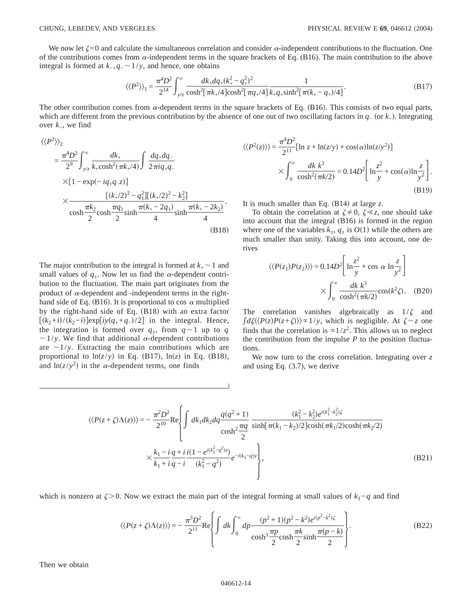We now let  $\zeta = 0$  and calculate the simultaneous correlation and consider  $\alpha$ -independent contributions to the fluctuation. One of the contributions comes from  $\alpha$ -independent terms in the square brackets of Eq. (B16). The main contribution to the above integral is formed at  $k_-, q_- \sim 1/y$ , and hence, one obtains

$$
\langle \langle P^2 \rangle \rangle_1 = \frac{\pi^4 D^2}{2^{14}} \int_{y/z}^{\infty} \frac{dk_+ dq_+(k_+^2 - q_+^2)^2}{\cosh^2[\pi k_+/4] \cosh^2[\pi q_+/4]} \frac{1}{k_+ q_+\sinh^2[\pi (k_+ - q_+)/4]}.
$$
 (B17)

The other contribution comes from  $\alpha$ -dependent terms in the square brackets of Eq. (B16). This consists of two equal parts, which are different from the previous contribution by the absence of one out of two oscillating factors in *q*− (or *k*−). Integrating over *k*−, we find

$$
\langle \langle P^2 \rangle \rangle_2
$$
  
=  $\frac{\pi^4 D^2}{2^9} \int_{y/z}^{\infty} \frac{dk_+}{k_+ \cosh^2(\pi k_+/4)} \int \frac{dq_+ dq_-}{2\pi i q_+ q_-}$   
×[1 - exp(-iq\_+ q\_-)]  
×  $\frac{[(k_+/2)^2 - q_1^2][(k_+/2)^2 - k_2^2]}{\cosh \frac{\pi k_2}{2} \cosh \frac{\pi q_1}{2} \sinh \frac{\pi (k_+ - 2q_1)}{4} \sinh \frac{\pi (k_+ - 2k_2)}{4}}.$  (B18)

The major contribution to the integral is formed at  $k_{+}$   $\sim$  1 and small values of  $q_{+}$ . Now let us find the  $\alpha$ -dependent contribution to the fluctuation. The main part originates from the product of  $\alpha$ -dependent and -independent terms in the righthand side of Eq. (B16). It is proportional to cos  $\alpha$  multiplied by the right-hand side of Eq.  $(B18)$  with an extra factor  $[(k_2+i)/(k_2-i)]exp[iy(q_++q_-)/2]$  in the integral. Hence, the integration is formed over  $q_{\pm}$ , from  $q \sim 1$  up to *q*  $\sim$ 1/y. We find that additional  $\alpha$ -dependent contributions are  $\sim$ 1/y. Extracting the main contributions which are proportional to  $\ln(z/y)$  in Eq. (B17),  $\ln(z)$  in Eq. (B18), and  $\ln(z/y^2)$  in the *α*-dependent terms, one finds

$$
\langle \langle P^2(z) \rangle \rangle = \frac{\pi^4 D^2}{2^{11}} [\ln z + \ln(z/y) + \cos(\alpha) \ln(z/y^2)]
$$
  
 
$$
\times \int_0^\infty \frac{dk \ k^3}{\cosh^2(\pi k/2)} = 0.14D^2 \left[ \ln \frac{z^2}{y} + \cos(\alpha) \ln \frac{z}{y^2} \right].
$$
  
(B19)

It is much smaller than Eq.  $(B14)$  at large *z*.

To obtain the correlation at  $\zeta \neq 0$ ,  $\zeta \ll z$ , one should take into account that the integral (B16) is formed in the region where one of the variables  $k_{+}$ ,  $q_{+}$  is  $O(1)$  while the others are much smaller than unity. Taking this into account, one derives

$$
\langle \langle P(z_1)P(z_2) \rangle \rangle = 0.14D^2 \left[ \ln \frac{z^2}{y} + \cos \alpha \ln \frac{z}{y^2} \right]
$$

$$
\times \int_0^\infty \frac{dk \ k^3}{\cosh^2(\pi k/2)} \cos(k^2 \zeta). \quad (B20)
$$

The correlation vanishes algebraically as  $1/\zeta$  and  $\int d\zeta \langle P(z)P(z+\zeta)\rangle \approx 1/y$ , which is negligible. At  $\zeta \sim z$  one finds that the correlation is  $\propto 1/z^2$ . This allows us to neglect the contribution from the impulse  $P$  to the position fluctuations.

We now turn to the cross correlation. Integrating over *z* and using Eq. (3.7), we derive

$$
\langle \langle P(z+\zeta)\Lambda(z) \rangle \rangle = -\frac{\pi^2 D^2}{2^{10}} \text{Re} \left\{ \int dk_1 dk_2 dq \frac{q(q^2+1)}{\cosh^2 \frac{\pi q}{2}} \frac{(k_1^2 - k_2^2) e^{i(k_1^2 - k_2^2)\zeta}}{\sinh[\pi(k_1 - k_2)/2] \cosh(\pi k_1/2) \cosh(\pi k_2/2)} \right\}
$$
  
 
$$
\times \frac{k_1 - i}{k_1 + i} \frac{q + i}{q - i} \frac{i(1 - e^{i(k_1^2 - q^2)z})}{(k_1^2 - q^2)} e^{-i(k_1 - q)y} \right\}, \tag{B21}
$$

which is nonzero at  $\zeta > 0$ . Now we extract the main part of the integral forming at small values of  $k_1 - q$  and find

$$
\langle \langle P(z+\zeta)\Lambda(z) \rangle \rangle = -\frac{\pi^3 D^2}{2^{11}} \text{Re} \left\{ \int d\zeta \int_0^\infty dp \frac{(p^2+1)(p^2-\kappa^2)e^{i(p^2-\kappa^2)\zeta}}{\cosh^3 \frac{\pi p}{2} \cosh \frac{\pi \kappa}{2} \sinh \frac{\pi (p-k)}{2}} \right\}.
$$
 (B22)

Then we obtain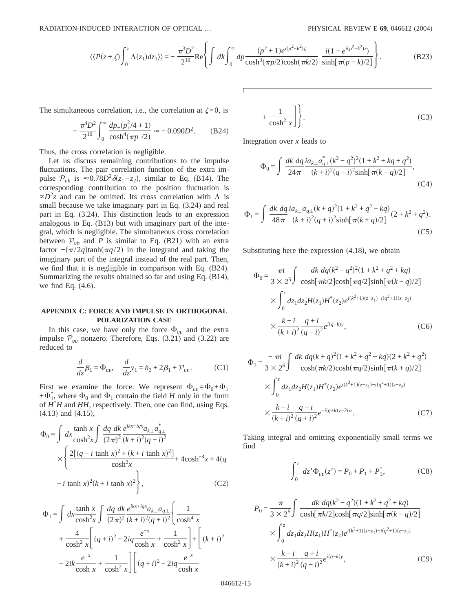$$
\langle \langle P(z+\zeta) \int_0^z \Lambda(z_1) dz_1 \rangle \rangle = -\frac{\pi^3 D^2}{2^{10}} \text{Re} \left\{ \int dk \int_0^\infty dp \frac{(p^2+1)e^{i(p^2-\kappa^2)\zeta}}{\cosh^3(\pi p/2)\cosh(\pi k/2)} \frac{i(1-e^{i(p^2-\kappa^2)z})}{\sinh[\pi(p-k)/2]} \right\}.
$$
 (B23)

The simultaneous correlation, i.e., the correlation at  $\zeta = 0$ , is

$$
-\frac{\pi^4 D^2}{2^{10}} \int_0^\infty \frac{dp_+(p_+^2/4+1)}{\cosh^4(\pi p_+/2)} \approx -0.090D^2. \tag{B24}
$$

Thus, the cross correlation is negligible.

Let us discuss remaining contributions to the impulse fluctuations. The pair correlation function of the extra impulse  $\mathcal{P}_{vh}$  is  $\approx 0.78D^2 \delta(z_1 - z_2)$ , similar to Eq. (B14). The corresponding contribution to the position fluctuation is  $\propto D^2$ *z* and can be omitted. Its cross correlation with  $\Lambda$  is small because we take imaginary part in Eq. (3.24) and real part in Eq. (3.24). This distinction leads to an expression analogous to Eq. (B13) but with imaginary part of the integral, which is negligible. The simultaneous cross correlation between  $P_{vh}$  and *P* is similar to Eq. (B21) with an extra factor  $-(\pi/2q)\tanh(\pi q/2)$  in the integrand and taking the imaginary part of the integral instead of the real part. Then, we find that it is negligible in comparison with Eq. (B24). Summarizing the results obtained so far and using Eq. (B14), we find Eq. (4.6).

## **APPENDIX C: FORCE AND IMPULSE IN ORTHOGONAL POLARIZATION CASE**

In this case, we have only the force  $\Phi_{vv}$  and the extra impulse  $P_{vv}$  nonzero. Therefore, Eqs. (3.21) and (3.22) are reduced to

$$
\frac{d}{dz}\beta_1 = \Phi_{vv}, \quad \frac{d}{dz}y_1 = h_3 + 2\beta_1 + \mathcal{P}_{vv}.
$$
 (C1)

First we examine the force. We represent  $\Phi_{uv} = \Phi_0 + \Phi_1$  $+\Phi_1^*$ , where  $\Phi_0$  and  $\Phi_1$  contain the field *H* only in the form of *H*\* *H* and *HH*, respectively. Then, one can find, using Eqs.  $(4.13)$  and  $(4.15)$ ,

$$
\Phi_0 = \int dx \frac{\tanh x}{\cosh^2 x} \int \frac{dq \, dk \, e^{ikx - iqx} a_{k\perp} a_{q\perp}^*}{(2\pi)^2 (k+i)^2 (q-i)^2} \times \left\{ \frac{2[(q - i \tanh x)^2 + (k + i \tanh x)^2]}{\cosh^2 x} + 4\cosh^{-4} x + 4(q - i \tanh x)^2 (k + i \tanh x)^2 \right\},
$$
\n(C2)

$$
\Phi_1 = \int dx \frac{\tanh x}{\cosh^2 x} \int \frac{dq \, dk}{(2\pi)^2} \frac{e^{ikx + iqx} a_{k\perp} a_{q\perp}}{(k+i)^2 (q+i)^2} \left\{ \frac{1}{\cosh^4 x} \right.
$$
  
+ 
$$
\frac{4}{\cosh^2 x} \left[ (q+i)^2 - 2iq \frac{e^{-x}}{\cosh x} + \frac{1}{\cosh^2 x} \right] + \left[ (k+i)^2 - 2ik \frac{e^{-x}}{\cosh x} + \frac{1}{\cosh^2 x} \right] \left[ (q+i)^2 - 2iq \frac{e^{-x}}{\cosh x} \right.
$$

$$
+\frac{1}{\cosh^2 x}\bigg]\bigg\}.
$$
 (C3)

Integration over *x* leads to

$$
\Phi_0 = \int \frac{dk \, dq}{24\pi} \frac{i a_{k\perp} a_{q\perp}^*(k^2 - q^2)^2 (1 + k^2 + kq + q^2)}{(k+i)^2 (q-i)^2 \sinh[\pi(k-q)/2]},
$$
\n(C4)

$$
\Phi_1 = \int \frac{dk \, dq}{48\pi} \frac{i a_{k\perp} a_{q\perp} (k+q)^2 (1+k^2+q^2-kq)}{(k+i)^2 (q+i)^2 \sinh[\pi(k+q)/2]} (2+k^2+q^2).
$$
\n(C5)

Substituting here the expression  $(4.18)$ , we obtain

$$
\Phi_0 = \frac{\pi i}{3 \times 2^5} \int \frac{dk \, dq (k^2 - q^2)^2 (1 + k^2 + q^2 + kq)}{\cosh[\pi k/2] \cosh[\pi q/2] \sinh[\pi (k - q)/2]} \times \int_0^z dz_1 dz_2 H(z_1) H^*(z_2) e^{i(k^2 + 1)(z - z_1) - i(q^2 + 1)(z - z_2)} \times \frac{k - i}{(k + i)^2} \frac{q + i}{(q - i)^2} e^{i(q - k)y}, \tag{C6}
$$

$$
\Phi_1 = \frac{-\pi i}{3 \times 2^6} \int \frac{dk \, dq (k+q)^2 (1+k^2+q^2-kq)(2+k^2+q^2)}{\cosh(\pi k/2)\cosh(\pi q/2)\sinh[\pi (k+q)/2]} \times \int_0^z dz_1 dz_2 H(z_1) H^*(z_2) e^{i(k^2+1)(z-z_1)-i(q^2+1)(z-z_2)} \times \frac{k-i}{(k+i)^2} \frac{q-i}{(q+i)^2} e^{-i(q+k)y-2i\alpha}.
$$
\n(C7)

Taking integral and omitting exponentially small terms we find

$$
\int_0^z \, dz' \Phi_{vv}(z') = P_0 + P_1 + P_1^*,\tag{C8}
$$

$$
P_0 = \frac{\pi}{3 \times 2^5} \int \frac{dk \, dq(k^2 - q^2)(1 + k^2 + q^2 + kq)}{\cosh[\pi k/2] \cosh[\pi q/2] \sinh[\pi (k - q)/2]} \times \int_0^z dz_1 dz_2 H(z_1) H^*(z_2) e^{i(k^2 + 1)(z - z_1) - i(q^2 + 1)(z - z_2)} \times \frac{k - i}{(k + i)^2} \frac{q + i}{(q - i)^2} e^{i(q - k)y},
$$
(C9)